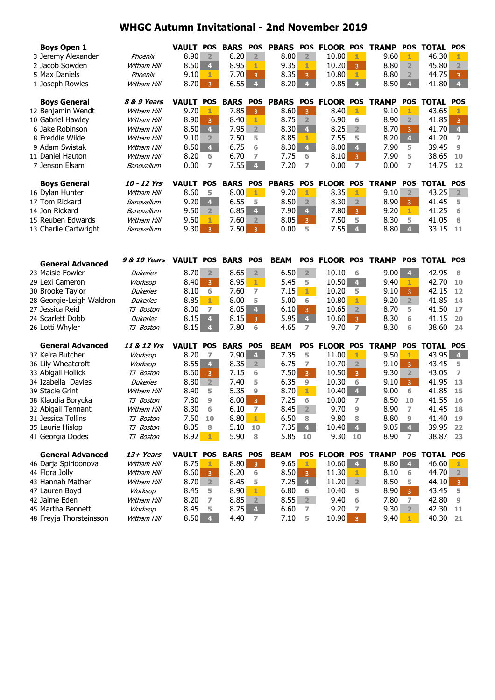| <b>Boys Open 1</b><br>8.90<br>8.20<br>8.80<br>3 Jeremy Alexander<br>$\overline{2}$<br>2 <sup>1</sup><br>$\overline{2}$<br>10.80<br>9.60<br>1<br>1<br>Phoenix<br>8.50<br>8.95<br>9.35<br>8.80<br>2 Jacob Sowden<br>10.20<br>Witham Hill<br>4 <sup>1</sup><br>1.<br>$\overline{2}$<br>1<br>3<br>7.70<br>8.35<br>5 Max Daniels<br>10.80<br>8.80<br>9.10<br>Phoenix<br>1<br>3<br>3<br>1<br>$\overline{2}$<br>6.55<br>9.85<br>8.70<br>$\overline{4}$<br>8.20<br>8.50<br>1 Joseph Rowles<br>$\overline{4}$<br>$\overline{4}$<br>$\overline{4}$<br>Witham Hill<br>$\overline{3}$<br><b>BARS</b><br><b>PBARS</b><br><b>FLOOR POS</b><br><b>TRAMP</b><br><b>Boys General</b><br><b>VAULT</b><br><b>POS</b><br><b>POS</b><br><b>POS</b><br><b>POS</b><br>8 & 9 Years<br>7.85<br>12 Benjamin Wendt<br>9.70<br>8.60<br>8.40<br>1<br>9.10<br>Witham Hill<br>1<br>$3 -$<br>$\overline{3}$<br>1<br>8.90<br>10 Gabriel Hawley<br>8.90<br>8.40<br>8.75<br>6.90<br>Witham Hill<br>$\overline{2}$<br>$\overline{2}$<br>1<br>6<br>3<br>7.95<br>$\overline{2}$<br>6 Jake Robinson<br>8.50<br>8.30<br>$\overline{\mathbf{4}}$<br>8.25<br>$\overline{2}$<br>8.70<br>Witham Hill<br>4<br>3<br>8 Freddie Wilde<br>9.10<br>7.50<br>8.85<br>7.55<br>8.20<br>$\overline{4}$<br>5<br>Witham Hill<br>$\overline{2}$<br>5<br>1<br>$\overline{4}$<br>8.50<br>6.75<br>9 Adam Swistak<br>$\overline{4}$<br>8.30<br>8.00<br>$\overline{4}$<br>7.90<br>Witham Hill<br>6<br>5<br>6.70<br>8.20<br>7.75<br>8.10<br>7.90<br>11 Daniel Hauton<br>Witham Hill<br>6<br>7<br>6<br>5<br>$\overline{3}$ | 46.30<br>45.80<br>44.75<br>41.80<br><b>TOTAL</b><br>43.65<br>41.85<br>41.70 | 1<br>$\overline{2}$<br>3<br>$\overline{4}$<br><b>POS</b> |
|-----------------------------------------------------------------------------------------------------------------------------------------------------------------------------------------------------------------------------------------------------------------------------------------------------------------------------------------------------------------------------------------------------------------------------------------------------------------------------------------------------------------------------------------------------------------------------------------------------------------------------------------------------------------------------------------------------------------------------------------------------------------------------------------------------------------------------------------------------------------------------------------------------------------------------------------------------------------------------------------------------------------------------------------------------------------------------------------------------------------------------------------------------------------------------------------------------------------------------------------------------------------------------------------------------------------------------------------------------------------------------------------------------------------------------------------------------------------------------------------------------------------------------------------------------------|-----------------------------------------------------------------------------|----------------------------------------------------------|
|                                                                                                                                                                                                                                                                                                                                                                                                                                                                                                                                                                                                                                                                                                                                                                                                                                                                                                                                                                                                                                                                                                                                                                                                                                                                                                                                                                                                                                                                                                                                                           |                                                                             |                                                          |
|                                                                                                                                                                                                                                                                                                                                                                                                                                                                                                                                                                                                                                                                                                                                                                                                                                                                                                                                                                                                                                                                                                                                                                                                                                                                                                                                                                                                                                                                                                                                                           |                                                                             |                                                          |
|                                                                                                                                                                                                                                                                                                                                                                                                                                                                                                                                                                                                                                                                                                                                                                                                                                                                                                                                                                                                                                                                                                                                                                                                                                                                                                                                                                                                                                                                                                                                                           |                                                                             |                                                          |
|                                                                                                                                                                                                                                                                                                                                                                                                                                                                                                                                                                                                                                                                                                                                                                                                                                                                                                                                                                                                                                                                                                                                                                                                                                                                                                                                                                                                                                                                                                                                                           |                                                                             |                                                          |
|                                                                                                                                                                                                                                                                                                                                                                                                                                                                                                                                                                                                                                                                                                                                                                                                                                                                                                                                                                                                                                                                                                                                                                                                                                                                                                                                                                                                                                                                                                                                                           |                                                                             |                                                          |
|                                                                                                                                                                                                                                                                                                                                                                                                                                                                                                                                                                                                                                                                                                                                                                                                                                                                                                                                                                                                                                                                                                                                                                                                                                                                                                                                                                                                                                                                                                                                                           |                                                                             | 1                                                        |
|                                                                                                                                                                                                                                                                                                                                                                                                                                                                                                                                                                                                                                                                                                                                                                                                                                                                                                                                                                                                                                                                                                                                                                                                                                                                                                                                                                                                                                                                                                                                                           |                                                                             | 3                                                        |
|                                                                                                                                                                                                                                                                                                                                                                                                                                                                                                                                                                                                                                                                                                                                                                                                                                                                                                                                                                                                                                                                                                                                                                                                                                                                                                                                                                                                                                                                                                                                                           |                                                                             | $\overline{\mathbf{4}}$                                  |
|                                                                                                                                                                                                                                                                                                                                                                                                                                                                                                                                                                                                                                                                                                                                                                                                                                                                                                                                                                                                                                                                                                                                                                                                                                                                                                                                                                                                                                                                                                                                                           | 41.20                                                                       | 7                                                        |
|                                                                                                                                                                                                                                                                                                                                                                                                                                                                                                                                                                                                                                                                                                                                                                                                                                                                                                                                                                                                                                                                                                                                                                                                                                                                                                                                                                                                                                                                                                                                                           | 39.45                                                                       | $\overline{9}$                                           |
|                                                                                                                                                                                                                                                                                                                                                                                                                                                                                                                                                                                                                                                                                                                                                                                                                                                                                                                                                                                                                                                                                                                                                                                                                                                                                                                                                                                                                                                                                                                                                           | 38.65                                                                       | 10                                                       |
| 7.55<br>0.00<br>4 <sup>1</sup><br>7.20<br>0.00<br>$\overline{ }$<br>0.00<br>7 Jenson Elsam<br>7<br>7<br>7<br>Banovallum                                                                                                                                                                                                                                                                                                                                                                                                                                                                                                                                                                                                                                                                                                                                                                                                                                                                                                                                                                                                                                                                                                                                                                                                                                                                                                                                                                                                                                   | 14.75                                                                       | 12                                                       |
|                                                                                                                                                                                                                                                                                                                                                                                                                                                                                                                                                                                                                                                                                                                                                                                                                                                                                                                                                                                                                                                                                                                                                                                                                                                                                                                                                                                                                                                                                                                                                           |                                                                             |                                                          |
| <b>PBARS</b><br>10 - 12 Yrs<br><b>POS</b><br><b>BARS</b><br><b>POS</b><br>POS FLOOR POS<br><b>TRAMP</b><br><b>POS</b><br><b>Boys General</b><br><b>VAULT</b>                                                                                                                                                                                                                                                                                                                                                                                                                                                                                                                                                                                                                                                                                                                                                                                                                                                                                                                                                                                                                                                                                                                                                                                                                                                                                                                                                                                              | <b>TOTAL</b>                                                                | POS                                                      |
| 9.20<br>8.60<br>8.00<br>1<br>8.35<br>1<br>9.10<br>$\overline{2}$<br>16 Dylan Hunter<br>Witham Hill<br>5<br>$1 -$                                                                                                                                                                                                                                                                                                                                                                                                                                                                                                                                                                                                                                                                                                                                                                                                                                                                                                                                                                                                                                                                                                                                                                                                                                                                                                                                                                                                                                          | 43.25                                                                       | 2 <sup>1</sup>                                           |
| 6.55<br>8.50<br>8.90<br>17 Tom Rickard<br>9.20<br>$\overline{4}$<br>$\overline{2}$<br>8.30<br>5<br>$\overline{2}$<br>Banovallum<br>3                                                                                                                                                                                                                                                                                                                                                                                                                                                                                                                                                                                                                                                                                                                                                                                                                                                                                                                                                                                                                                                                                                                                                                                                                                                                                                                                                                                                                      | 41.45                                                                       | 5                                                        |
| 6.85<br>4 <sup>1</sup><br>14 Jon Rickard<br>9.50<br>7.90<br>7.80<br>9.20<br>Banovallum<br>$\overline{4}$<br>1.<br>2 <sup>2</sup><br>3 <sup>1</sup>                                                                                                                                                                                                                                                                                                                                                                                                                                                                                                                                                                                                                                                                                                                                                                                                                                                                                                                                                                                                                                                                                                                                                                                                                                                                                                                                                                                                        | 41.25                                                                       | 6                                                        |
| 15 Reuben Edwards<br>7.60<br>8.05<br>7.50<br>8.30<br>Witham Hill<br>9.60<br>5<br>1<br>$\overline{2}$<br>3 <sup>7</sup><br>5                                                                                                                                                                                                                                                                                                                                                                                                                                                                                                                                                                                                                                                                                                                                                                                                                                                                                                                                                                                                                                                                                                                                                                                                                                                                                                                                                                                                                               | 41.05                                                                       | 8                                                        |
| 7.55<br>9.30<br>7.50<br>0.00<br>4<br>8.80<br>$\overline{4}$<br>13 Charlie Cartwright<br>5<br>Banovallum<br>$\overline{3}$<br>$\overline{3}$                                                                                                                                                                                                                                                                                                                                                                                                                                                                                                                                                                                                                                                                                                                                                                                                                                                                                                                                                                                                                                                                                                                                                                                                                                                                                                                                                                                                               | 33.15                                                                       | 11                                                       |
|                                                                                                                                                                                                                                                                                                                                                                                                                                                                                                                                                                                                                                                                                                                                                                                                                                                                                                                                                                                                                                                                                                                                                                                                                                                                                                                                                                                                                                                                                                                                                           |                                                                             |                                                          |
| VAULT POS BARS POS<br>POS FLOOR POS TRAMP<br><b>9 &amp; 10 Years</b><br><b>BEAM</b><br><b>General Advanced</b>                                                                                                                                                                                                                                                                                                                                                                                                                                                                                                                                                                                                                                                                                                                                                                                                                                                                                                                                                                                                                                                                                                                                                                                                                                                                                                                                                                                                                                            | POS TOTAL POS                                                               |                                                          |
| 23 Maisie Fowler<br>8.70<br>8.65<br>6.50<br>9.00<br>$\overline{4}$<br>$\overline{2}$<br>$2^{\circ}$<br>2 <sup>1</sup><br>10.10<br>6<br><b>Dukeries</b>                                                                                                                                                                                                                                                                                                                                                                                                                                                                                                                                                                                                                                                                                                                                                                                                                                                                                                                                                                                                                                                                                                                                                                                                                                                                                                                                                                                                    | 42.95                                                                       | 8                                                        |
| 8.95<br>5.45<br>10.50<br>$\overline{4}$<br>9.40<br>29 Lexi Cameron<br>8.40<br>$\overline{3}$<br>$1 -$<br>5<br>1<br>Worksop                                                                                                                                                                                                                                                                                                                                                                                                                                                                                                                                                                                                                                                                                                                                                                                                                                                                                                                                                                                                                                                                                                                                                                                                                                                                                                                                                                                                                                | 42.70                                                                       | 10                                                       |
| 6<br>7.60<br>7.15<br>$\mathbf{1}$<br>10.20<br>5<br>9.10<br>30 Brooke Taylor<br>8.10<br>7<br>$\overline{3}$<br><b>Dukeries</b>                                                                                                                                                                                                                                                                                                                                                                                                                                                                                                                                                                                                                                                                                                                                                                                                                                                                                                                                                                                                                                                                                                                                                                                                                                                                                                                                                                                                                             | 42.15                                                                       | 12                                                       |
| 8.85<br>1<br>8.00<br>5.00<br>10.80<br>9.20<br>$\overline{2}$<br>28 Georgie-Leigh Waldron<br>1<br><b>Dukeries</b><br>5<br>6                                                                                                                                                                                                                                                                                                                                                                                                                                                                                                                                                                                                                                                                                                                                                                                                                                                                                                                                                                                                                                                                                                                                                                                                                                                                                                                                                                                                                                | 41.85                                                                       | 14                                                       |
| 27 Jessica Reid<br>8.00<br>8.05<br>$\overline{\bf 4}$<br>6.10<br>8.70<br>10.65<br>$\overline{2}$<br>TJ Boston<br>7<br>5<br>3                                                                                                                                                                                                                                                                                                                                                                                                                                                                                                                                                                                                                                                                                                                                                                                                                                                                                                                                                                                                                                                                                                                                                                                                                                                                                                                                                                                                                              | 41.50                                                                       | 17                                                       |
| 5.95<br>24 Scarlett Dobb<br>8.15<br>8.15<br>$\overline{\mathbf{4}}$<br>10.60<br>8.30<br>4<br>$\overline{3}$<br>$\overline{3}$<br><b>Dukeries</b><br>6                                                                                                                                                                                                                                                                                                                                                                                                                                                                                                                                                                                                                                                                                                                                                                                                                                                                                                                                                                                                                                                                                                                                                                                                                                                                                                                                                                                                     | 41.15                                                                       | 20                                                       |
| 8.15<br>7.80<br>8.30<br>4.65<br>9.70<br>7<br>26 Lotti Whyler<br>6<br>6<br>TJ Boston<br>4<br>7                                                                                                                                                                                                                                                                                                                                                                                                                                                                                                                                                                                                                                                                                                                                                                                                                                                                                                                                                                                                                                                                                                                                                                                                                                                                                                                                                                                                                                                             | 38.60                                                                       | 24                                                       |
| <b>General Advanced</b><br>11 & 12 Yrs<br><b>BARS</b><br>POS FLOOR<br><b>VAULT</b><br><b>POS</b><br><b>POS</b><br><b>BEAM</b><br><b>POS</b><br><b>TRAMP</b><br><b>POS</b>                                                                                                                                                                                                                                                                                                                                                                                                                                                                                                                                                                                                                                                                                                                                                                                                                                                                                                                                                                                                                                                                                                                                                                                                                                                                                                                                                                                 | <b>TOTAL POS</b>                                                            |                                                          |
| 37 Keira Butcher<br>8.20<br>7.90<br>11.00<br>9.50<br>4 <sup>1</sup><br>7.35<br>5<br>1<br>Worksop<br>7<br>1                                                                                                                                                                                                                                                                                                                                                                                                                                                                                                                                                                                                                                                                                                                                                                                                                                                                                                                                                                                                                                                                                                                                                                                                                                                                                                                                                                                                                                                | 43.95                                                                       | $\overline{\mathbf{4}}$                                  |
| 8.55<br>8.35<br>6.75<br>9.10<br>36 Lily Wheatcroft<br>4<br>7<br>10.70<br>Worksop<br>$\overline{2}$<br>$\overline{2}$<br>3                                                                                                                                                                                                                                                                                                                                                                                                                                                                                                                                                                                                                                                                                                                                                                                                                                                                                                                                                                                                                                                                                                                                                                                                                                                                                                                                                                                                                                 | 43.45                                                                       | 5                                                        |
| 7.50<br>8.60<br>7.15<br>10.50<br>9.30<br>33 Abigail Hollick<br>$\overline{3}$<br>$\overline{2}$<br>TJ Boston<br>6<br>$\overline{3}$<br>3                                                                                                                                                                                                                                                                                                                                                                                                                                                                                                                                                                                                                                                                                                                                                                                                                                                                                                                                                                                                                                                                                                                                                                                                                                                                                                                                                                                                                  | 43.05                                                                       | 7                                                        |
| 6.35<br>34 Izabella Davies<br>8.80<br>7.40<br>10.30<br>$\overline{2}$<br>5<br>9<br>6<br>9.10<br><b>Dukeries</b><br>3                                                                                                                                                                                                                                                                                                                                                                                                                                                                                                                                                                                                                                                                                                                                                                                                                                                                                                                                                                                                                                                                                                                                                                                                                                                                                                                                                                                                                                      | 41.95                                                                       | 13                                                       |
|                                                                                                                                                                                                                                                                                                                                                                                                                                                                                                                                                                                                                                                                                                                                                                                                                                                                                                                                                                                                                                                                                                                                                                                                                                                                                                                                                                                                                                                                                                                                                           |                                                                             |                                                          |
|                                                                                                                                                                                                                                                                                                                                                                                                                                                                                                                                                                                                                                                                                                                                                                                                                                                                                                                                                                                                                                                                                                                                                                                                                                                                                                                                                                                                                                                                                                                                                           |                                                                             |                                                          |
| 5.35<br>8.70<br>39 Stacie Grint<br>8.40<br>1<br>10.40<br>$\overline{4}$<br>9.00<br>5<br>9<br>6<br>Witham Hill                                                                                                                                                                                                                                                                                                                                                                                                                                                                                                                                                                                                                                                                                                                                                                                                                                                                                                                                                                                                                                                                                                                                                                                                                                                                                                                                                                                                                                             | 41.85                                                                       | 15                                                       |
| 8.00<br>7.80<br>$3 -$<br>7.25<br>10.00<br>8.50<br>38 Klaudia Borycka<br>9<br>6<br>7<br>10<br>TJ Boston                                                                                                                                                                                                                                                                                                                                                                                                                                                                                                                                                                                                                                                                                                                                                                                                                                                                                                                                                                                                                                                                                                                                                                                                                                                                                                                                                                                                                                                    | 41.55                                                                       | 16                                                       |
| 8.30<br>8.45<br>8.90<br>32 Abigail Tennant<br>6.10<br>7<br>9.70<br>9<br>7<br>6<br>Witham Hill                                                                                                                                                                                                                                                                                                                                                                                                                                                                                                                                                                                                                                                                                                                                                                                                                                                                                                                                                                                                                                                                                                                                                                                                                                                                                                                                                                                                                                                             | 41.45                                                                       | 18                                                       |
| 7.50<br>8.80<br>6.50<br>9.80<br>8.80<br>31 Jessica Tollins<br>10<br>$\mathbf{1}$<br>8<br>TJ Boston<br>8<br>9                                                                                                                                                                                                                                                                                                                                                                                                                                                                                                                                                                                                                                                                                                                                                                                                                                                                                                                                                                                                                                                                                                                                                                                                                                                                                                                                                                                                                                              | 41.40                                                                       | 19                                                       |
| 7.35<br>8.05<br>5.10<br>10.40<br>9.05<br>35 Laurie Hislop<br>$\overline{4}$<br>$\overline{4}$<br>$\overline{4}$<br>TJ Boston<br>8<br>10<br>5.90<br>5.85<br>8.92<br>9.30<br>8.90<br>41 Georgia Dodes<br>$\mathbf{1}$<br>8<br>TJ Boston<br>10<br>10<br>7                                                                                                                                                                                                                                                                                                                                                                                                                                                                                                                                                                                                                                                                                                                                                                                                                                                                                                                                                                                                                                                                                                                                                                                                                                                                                                    | 39.95<br>38.87                                                              | 22<br>23                                                 |
|                                                                                                                                                                                                                                                                                                                                                                                                                                                                                                                                                                                                                                                                                                                                                                                                                                                                                                                                                                                                                                                                                                                                                                                                                                                                                                                                                                                                                                                                                                                                                           |                                                                             |                                                          |
| <b>General Advanced</b><br>VAULT POS BARS POS<br>POS FLOOR POS TRAMP POS TOTAL POS<br>13+ Years<br><b>BEAM</b>                                                                                                                                                                                                                                                                                                                                                                                                                                                                                                                                                                                                                                                                                                                                                                                                                                                                                                                                                                                                                                                                                                                                                                                                                                                                                                                                                                                                                                            |                                                                             |                                                          |
| 9.65<br>46 Darja Spiridonova<br>Witham Hill<br>8.75<br>8.80<br>10.60<br>8.80<br>3 <sup>°</sup><br>1<br>$\overline{4}$<br>$\overline{4}$<br>ı                                                                                                                                                                                                                                                                                                                                                                                                                                                                                                                                                                                                                                                                                                                                                                                                                                                                                                                                                                                                                                                                                                                                                                                                                                                                                                                                                                                                              | 46.60                                                                       | 1                                                        |
| 44 Flora Jolly<br>8.60<br>8.20<br>8.50<br>8.10<br>Witham Hill<br>11.30<br>6<br>6<br>3<br>3<br>1                                                                                                                                                                                                                                                                                                                                                                                                                                                                                                                                                                                                                                                                                                                                                                                                                                                                                                                                                                                                                                                                                                                                                                                                                                                                                                                                                                                                                                                           | 44.70                                                                       | $\overline{2}$                                           |
| 43 Hannah Mather<br>8.45<br>7.25<br>11.20<br>8.50<br>8.70<br>$\overline{2}$<br>4<br>Witham Hill<br>$\overline{2}$<br>5<br>5<br>1<br>10.40<br>5<br>6<br>5<br>$\overline{3}$                                                                                                                                                                                                                                                                                                                                                                                                                                                                                                                                                                                                                                                                                                                                                                                                                                                                                                                                                                                                                                                                                                                                                                                                                                                                                                                                                                                | 44.10                                                                       | 3 <sup>7</sup><br>5                                      |
| 8.45<br>8.90<br>6.80<br>8.90<br>47 Lauren Boyd<br>Worksop<br>7.80<br>42 Jaime Eden<br>2 <sup>2</sup><br>$\overline{ }$<br>7<br>6                                                                                                                                                                                                                                                                                                                                                                                                                                                                                                                                                                                                                                                                                                                                                                                                                                                                                                                                                                                                                                                                                                                                                                                                                                                                                                                                                                                                                          | 43.45                                                                       | 9                                                        |
| 8.20<br>8.85<br>$\overline{2}$<br>8.55<br>Witham Hill<br>9.40<br>45 Martha Bennett<br>8.75<br>9.20<br>9.30<br>8.45<br>$\overline{\mathbf{4}}$<br>6.60<br>Worksop<br>7<br>$\overline{2}$<br>5<br>7                                                                                                                                                                                                                                                                                                                                                                                                                                                                                                                                                                                                                                                                                                                                                                                                                                                                                                                                                                                                                                                                                                                                                                                                                                                                                                                                                         | 42.80<br>42.30                                                              | 11                                                       |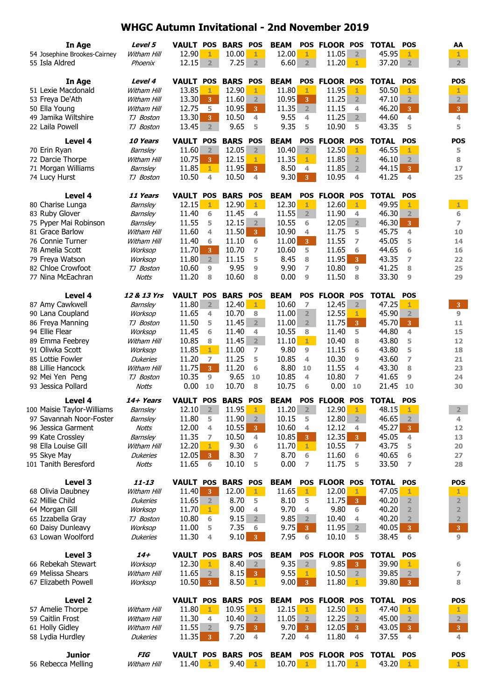| In Age<br>54 Josephine Brookes-Cairney<br>55 Isla Aldred    | Level 5<br>Witham Hill<br>Phoenix | <b>VAULT POS</b><br>12.90<br>12.15 | 1<br>$\overline{2}$              | <b>BARS POS</b><br>10.00<br>7.25 | 1<br>2 <sup>1</sup> | <b>BEAM</b><br>12.00<br>6.60 | $\mathbf{1}$<br>$2^{\circ}$ | POS FLOOR POS<br>11.05<br>$11.20$ 1 | $\overline{2}$          | <b>TOTAL</b><br>45.95<br>37.20 | <b>POS</b><br>1<br>2 <sup>2</sup> | AA<br>1<br>$\overline{2}$ |
|-------------------------------------------------------------|-----------------------------------|------------------------------------|----------------------------------|----------------------------------|---------------------|------------------------------|-----------------------------|-------------------------------------|-------------------------|--------------------------------|-----------------------------------|---------------------------|
| In Age                                                      | Level 4                           | VAULT POS BARS POS                 |                                  |                                  |                     | <b>BEAM</b>                  |                             | POS FLOOR POS                       |                         | <b>TOTAL</b>                   | <b>POS</b>                        | <b>POS</b>                |
| 51 Lexie Macdonald                                          | Witham Hill                       | 13.85                              | 1                                | 12.90                            | 1                   | 11.80                        | $\mathbf{1}$                | 11.95                               | 1                       | 50.50                          | 1                                 | 1                         |
| 53 Freya De'Ath                                             | Witham Hill                       | 13.30                              | 3 <sup>°</sup>                   | 11.60                            | $\overline{2}$      | 10.95                        | $\overline{3}$              | 11.25                               | 2 <sup>7</sup>          | 47.10                          | $\overline{2}$                    | $\overline{2}$            |
| 50 Ella Young                                               | Witham Hill                       | 12.75                              | 5                                | 10.95                            | 3 <sup>°</sup>      | 11.35                        | 2                           | 11.15                               | 4                       | 46.20                          | 3 <sup>°</sup>                    | 3 <sup>°</sup>            |
| 49 Jamika Wiltshire                                         | TJ Boston                         | 13.30                              | 3 <sup>°</sup>                   | 10.50                            | 4                   | 9.55                         | 4                           | 11.25                               | $\overline{2}$          | 44.60                          | 4                                 | 4                         |
| 22 Laila Powell                                             | TJ Boston                         | 13.45                              | 2 <sup>2</sup>                   | 9.65                             | 5                   | 9.35                         | 5                           | 10.90                               | 5                       | 43.35                          | 5                                 | 5                         |
| Level 4                                                     | <b>10 Years</b>                   | <b>VAULT POS</b>                   |                                  | <b>BARS POS</b>                  |                     | <b>BEAM</b>                  |                             | POS FLOOR POS                       |                         | <b>TOTAL</b>                   | <b>POS</b>                        | <b>POS</b>                |
| 70 Erin Ryan                                                | Barnsley                          | 11.60                              | $\overline{2}$                   | 12.05                            | 2 <sup>1</sup>      | 10.40                        | $\overline{2}$              | 12.50                               | 1                       | 46.55                          | 1                                 | 5                         |
| 72 Darcie Thorpe                                            | Witham Hill                       | 10.75                              | 3 <sup>°</sup>                   | 12.15                            | $\mathbf{1}$        | 11.35                        | $1 -$                       | 11.85                               | $\overline{2}$          | 46.10                          | $\overline{2}$                    | 8                         |
| 71 Morgan Williams                                          | Barnsley                          | 11.85                              | $1 -$                            | 11.95                            | 3 <sup>°</sup>      | 8.50                         | 4                           | 11.85                               | 2 <sup>2</sup>          | 44.15                          | $\overline{3}$                    | 17                        |
| 74 Lucy Hurst                                               | TJ Boston                         | 10.50                              | 4                                | 10.50                            | $\overline{4}$      | 9.30                         | 3 <sup>°</sup>              | 10.95                               | 4                       | 41.25                          | 4                                 | 25                        |
| Level 4                                                     | 11 Years                          | VAULT POS                          |                                  | <b>BARS POS</b>                  |                     | <b>BEAM</b>                  |                             | POS FLOOR POS                       |                         | <b>TOTAL</b>                   | <b>POS</b>                        |                           |
| 80 Charise Lunga                                            | Barnsley                          | 12.15                              | 1                                | 12.90                            | $1 -$               | 12.30                        | $\mathbf{1}$                | 12.60                               | $1 -$                   | 49.95                          | 1                                 | $1 -$                     |
| 83 Ruby Glover                                              | Barnsley                          | 11.40                              | 6                                | 11.45                            | 4                   | 11.55                        | 2                           | 11.90                               | 4                       | 46.30                          | $\overline{2}$                    | 6                         |
| 75 Pyper Mai Robinson                                       | Barnsley                          | 11.55                              | 5                                | 12.15                            | $\overline{2}$      | 10.55                        | 6                           | 12.05                               | 2 <sup>7</sup>          | 46.30                          | 3 <sup>°</sup>                    | $\overline{ }$            |
| 81 Grace Barlow                                             | Witham Hill                       | 11.60                              | 4                                | 11.50                            | 3 <sup>°</sup>      | 10.90                        | 4                           | 11.75                               | 5                       | 45.75                          | 4                                 | 10                        |
| 76 Connie Turner                                            | Witham Hill                       | 11.40                              | 6                                | 11.10                            | 6                   | 11.00                        | $\overline{3}$              | 11.55                               | $\overline{ }$          | 45.05                          | 5                                 | 14                        |
| 78 Amelia Scott                                             | Worksop                           | 11.70                              | 3 <sup>°</sup>                   | 10.70                            | $\overline{ }$      | 10.60                        | 5                           | 11.65                               | 6                       | 44.65                          | 6                                 | 16                        |
| 79 Freya Watson                                             | Worksop                           | 11.80                              | 2 <sup>1</sup>                   | 11.15                            | 5                   | 8.45                         | 8                           | 11.95                               | $3 -$                   | 43.35                          | 7                                 | 22                        |
| 82 Chloe Crowfoot                                           | TJ Boston                         | 10.60                              | 9                                | 9.95                             | 9                   | 9.90                         | $\overline{7}$              | 10.80                               | 9                       | 41.25                          | 8                                 | 25                        |
| 77 Nina McEachran                                           | Notts                             | 11.20                              | 8                                | 10.60                            | 8                   | 0.00                         | 9                           | 11.50                               | 8                       | 33.30                          | 9                                 | 29                        |
| Level 4                                                     | 12 & 13 Yrs                       | <b>VAULT POS</b>                   |                                  | <b>BARS POS</b>                  |                     | <b>BEAM</b>                  |                             | POS FLOOR POS                       |                         | <b>TOTAL</b>                   | <b>POS</b>                        |                           |
| 87 Amy Cawkwell                                             | Barnsley                          | 11.80                              | 2 <sup>1</sup>                   | 12.40                            | $-1$                | 10.60                        | $\overline{z}$              | 12.45                               | 2                       | 47.25                          | 1                                 | 3                         |
| 90 Lana Coupland                                            | Worksop                           | 11.65                              | 4                                | 10.70                            | 8                   | 11.00                        | $\overline{2}$              | 12.55                               | $1 -$                   | 45.90                          | $\overline{2}$                    | 9                         |
| 86 Freya Manning                                            | TJ Boston                         | 11.50                              | 5                                | 11.45                            | $2^{\circ}$         | 11.00                        | 2 <sup>1</sup>              | 11.75                               | 3 <sup>1</sup>          | 45.70                          | 3 <sup>°</sup>                    | 11                        |
| 94 Ellie Flear                                              | Worksop                           | 11.45                              | 6                                | 11.40                            | 4                   | 10.55                        | 8                           | 11.40                               | 5                       | 44.80                          | 4                                 | 15                        |
| 89 Emma Feebrey                                             | Witham Hill                       | 10.85                              | 8                                | 11.45                            | 2 <sup>1</sup>      | 11.10                        | $1 -$                       | 10.40                               | 8                       | 43.80                          | 5                                 | 12                        |
| 91 Oliwka Scott                                             | Worksop                           | 11.85                              | $1 -$                            | 11.00                            | 7                   | 9.80                         | 9                           | 11.15                               | 6                       | 43.80                          | 5                                 | 18                        |
| 85 Lottie Fowler<br>88 Lillie Hancock                       | <b>Dukeries</b><br>Witham Hill    | 11.20<br>11.75                     | $\overline{ }$<br>3 <sup>°</sup> | 11.25<br>11.20                   | 5<br>6              | 10.85<br>8.80                | 4<br>10                     | 10.30<br>11.55                      | $\overline{9}$<br>4     | 43.60<br>43.30                 | 7<br>8                            | 21<br>23                  |
| 92 Mei Yen Peng                                             | TJ Boston                         | 10.35                              | 9                                | 9.65                             | 10                  | 10.85                        | 4                           | 10.80                               | 7                       | 41.65                          | 9                                 | 24                        |
| 93 Jessica Pollard                                          | <b>Notts</b>                      | 0.00                               | 10                               | 10.70                            | 8                   | 10.75                        | 6                           | 0.00                                | 10                      | 21.45                          | 10                                | 30                        |
| Level 4                                                     | 14+ Years                         | VAULT POS BARS POS                 |                                  |                                  |                     | <b>BEAM</b>                  |                             | POS FLOOR POS                       |                         | TOTAL                          | <b>POS</b>                        |                           |
| 100 Maisie Taylor-Williams Barnsley 12.10 2 11.95 1 11.20 2 |                                   |                                    |                                  |                                  |                     |                              |                             | $12.90 \quad 1$                     |                         | 48.15                          |                                   | $\overline{2}$            |
| 97 Savannah Noor-Foster                                     | Barnsley                          | 11.80                              | 5                                | 11.90                            | $\overline{2}$      | 10.15                        | 5                           | 12.80                               | $\overline{2}$          | 46.65                          | $\overline{2}$                    | 4                         |
| 96 Jessica Garment                                          | <b>Notts</b>                      | 12.00                              | 4                                | 10.55                            | $\mathbf{3}$        | 10.60                        | 4                           | 12.12                               | 4                       | 45.27                          | $\mathbf{3}$                      | 12                        |
| 99 Kate Crossley                                            | Barnsley                          | 11.35                              | 7                                | 10.50                            | 4                   | 10.85                        | 3                           | 12.35                               | $3 -$                   | 45.05                          | 4                                 | 13                        |
| 98 Ella Louise Gill                                         | Witham Hill                       | 12.20                              | 1                                | 9.30                             | 6                   | 11.70                        | 1                           | 10.55                               | 7                       | 43.75                          | 5                                 | 20                        |
| 95 Skye May                                                 | <b>Dukeries</b>                   | 12.05                              | 3 <sup>°</sup>                   | 8.30                             | 7                   | 8.70                         | 6                           | 11.60                               | 6                       | 40.65                          | 6                                 | 27                        |
| 101 Tanith Beresford                                        | Notts                             | 11.65                              | 6                                | 10.10                            | 5                   | 0.00                         | $\overline{ }$              | 11.75                               | 5                       | 33.50                          | $\overline{ }$                    | 28                        |
| Level 3                                                     | $11 - 13$                         | <b>VAULT POS</b>                   |                                  | <b>BARS POS</b>                  |                     | <b>BEAM</b>                  |                             | POS FLOOR POS                       |                         | <b>TOTAL</b>                   | <b>POS</b>                        | <b>POS</b>                |
| 68 Olivia Daubney                                           | Witham Hill                       | 11.40                              | 3                                | 12.00                            | $1 -$               | 11.65                        | 1                           | 12.00                               | 1.                      | 47.05                          |                                   | 1                         |
| 62 Millie Child                                             | <b>Dukeries</b>                   | 11.65                              | 2 <sup>1</sup>                   | 8.70                             | 5                   | 8.10                         | 5                           | 11.75                               | 3 <sup>°</sup>          | 40.20                          | $\overline{2}$                    | $\overline{2}$            |
| 64 Morgan Gill                                              | Worksop                           | 11.70                              | 1.                               | 9.00                             | 4                   | 9.70                         | 4                           | 9.80                                | 6                       | 40.20                          | $\overline{2}$                    | $\overline{2}$            |
| 65 Izzabella Gray                                           | TJ Boston                         | 10.80                              | 6                                | 9.15                             | 2                   | 9.85                         | 2                           | 10.40                               | 4                       | 40.20                          | $\overline{2}$                    | $\overline{\mathbf{2}}$   |
| 60 Daisy Dunleavy                                           | Worksop                           | 11.00                              | 5                                | 7.35                             | 6                   | 9.75                         | 3 <sup>°</sup>              | 11.95                               | 2 <sup>2</sup>          | 40.05                          | 3 <sup>°</sup>                    | 3 <sup>°</sup>            |
| 63 Lowan Woolford                                           | <b>Dukeries</b>                   | 11.30                              | 4                                | 9.10                             | 3 <sup>°</sup>      | 7.95                         | 6                           | 10.10                               | 5                       | 38.45                          | 6                                 | $\overline{9}$            |
| Level 3                                                     | 14+                               | VAULT POS BARS POS                 |                                  |                                  |                     | <b>BEAM</b>                  |                             | POS FLOOR POS                       |                         | TOTAL                          | <b>POS</b>                        |                           |
| 66 Rebekah Stewart                                          | Worksop                           | 12.30                              | 1                                | 8.40                             | $\overline{2}$      | 9.35                         | 2                           | 9.85                                | 3 <sup>°</sup>          | 39.90                          | 1                                 | 6                         |
| 69 Melissa Shears                                           | Witham Hill                       | 11.65                              | $\overline{2}$                   | 8.15                             | 3 <sup>°</sup>      | 9.55                         | $\mathbf{1}$                | 10.50                               | $\overline{\mathbf{2}}$ | 39.85                          | $\overline{2}$                    | 7                         |
| 67 Elizabeth Powell                                         | Worksop                           | 10.50                              | 3 <sup>°</sup>                   | 8.50                             | $\mathbf{1}$        | 9.00                         | $3 -$                       | $11.80$ 1                           |                         | 39.80                          | $\vert 3 \vert$                   | 8                         |
| Level 2                                                     |                                   | VAULT POS BARS POS                 |                                  |                                  |                     | <b>BEAM</b>                  |                             | POS FLOOR POS                       |                         | <b>TOTAL POS</b>               |                                   | <b>POS</b>                |
| 57 Amelie Thorpe                                            | Witham Hill                       | 11.80                              | $1 -$                            | 10.95                            | 1                   | 12.15                        | -1                          | 12.50                               | $\mathbf{1}$            | 47.40                          |                                   | 1                         |
| 59 Caitlin Frost                                            | Witham Hill                       | 11.30                              | 4                                | 10.40                            | $\overline{2}$      | 11.05                        | $\overline{2}$              | 12.25                               | 2 <sup>1</sup>          | 45.00                          | $\overline{2}$                    | $\overline{2}$            |
| 61 Holly Gidley                                             | Witham Hill                       | 11.55                              | 2 <sup>1</sup>                   | 9.75                             | 3 <sup>2</sup>      | 9.70                         | 3 <sup>1</sup>              | 12.05                               | $3 -$                   | 43.05                          | 3 <sup>°</sup>                    | 3 <sup>°</sup>            |
| 58 Lydia Hurdley                                            | <b>Dukeries</b>                   | 11.35                              | $\mathbf{3}$                     | 7.20                             | 4                   | 7.20                         | 4                           | 11.80                               | $\overline{4}$          | 37.55                          | 4                                 | 4                         |
|                                                             | <b>FIG</b>                        |                                    |                                  |                                  |                     |                              |                             |                                     |                         |                                |                                   |                           |
| <b>Junior</b><br>56 Rebecca Melling                         | Witham Hill                       | VAULT POS BARS POS<br>11.40        | $\mathbf{1}$                     | 9.40                             | $\mathbf{1}$        | <b>BEAM</b><br>10.70         | $\mathbf{1}$                | POS FLOOR POS<br>11.70              | $\mathbf{1}$            | TOTAL POS<br>43.20             | $\mathbf{1}$                      | <b>POS</b><br>$1 -$       |
|                                                             |                                   |                                    |                                  |                                  |                     |                              |                             |                                     |                         |                                |                                   |                           |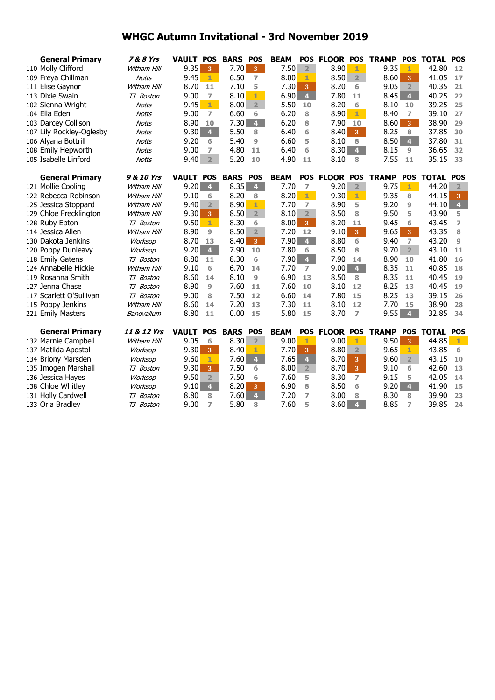| <b>General Primary</b>   | 7 & 8 Yrs          | <b>VAULT POS</b> |                         | <b>BARS</b> | <b>POS</b>     | <b>BEAM</b> | <b>POS</b>     | <b>FLOOR POS</b> |                | <b>TRAMP</b> | <b>POS</b>              | <b>TOTAL</b> | <b>POS</b>              |
|--------------------------|--------------------|------------------|-------------------------|-------------|----------------|-------------|----------------|------------------|----------------|--------------|-------------------------|--------------|-------------------------|
| 110 Molly Clifford       | <b>Witham Hill</b> | 9.35             | 3                       | 7.70        | 3 <sup>1</sup> | 7.50        | $\overline{2}$ | 8.90             | 1              | 9.35         | $\mathbf{1}$            | 42.80        | 12                      |
| 109 Freya Chillman       | <b>Notts</b>       | 9.45             | $\mathbf{1}$            | 6.50        | $\overline{ }$ | 8.00        | 1              | 8.50             | $\overline{2}$ | 8.60         | 3                       | 41.05        | 17                      |
| 111 Elise Gaynor         | Witham Hill        | 8.70             | 11                      | 7.10        | 5              | 7.30        | 3              | 8.20             | 6              | 9.05         | $\overline{2}$          | 40.35        | 21                      |
| 113 Dixie Swain          | TJ Boston          | 9.00             | $\overline{7}$          | 8.10        | $\mathbf{1}$   | 6.90        | $\overline{4}$ | 7.80             | 11             | 8.45         | $\overline{4}$          | 40.25        | 22                      |
| 102 Sienna Wright        | Notts              | 9.45             | $\mathbf{1}$            | 8.00        | $\overline{2}$ | 5.50        | 10             | 8.20             | 6              | 8.10         | 10                      | 39.25        | 25                      |
| 104 Ella Eden            | <b>Notts</b>       | 9.00             | $\overline{ }$          | 6.60        | 6              | 6.20        | 8              | 8.90             | $1 -$          | 8.40         | $\overline{ }$          | 39.10        | 27                      |
| 103 Darcey Collison      | <b>Notts</b>       | 8.90             | 10                      | 7.30        | 4 <sup>1</sup> | 6.20        | 8              | 7.90             | 10             | 8.60         | $\overline{3}$          | 38.90        | 29                      |
| 107 Lily Rockley-Oglesby | <b>Notts</b>       | 9.30             | $\overline{\mathbf{4}}$ | 5.50        | 8              | 6.40        | 6              | 8.40             | 3 <sup>°</sup> | 8.25         | 8                       | 37.85        | 30                      |
| 106 Alyana Bottrill      | <b>Notts</b>       | 9.20             | 6                       | 5.40        | $\overline{9}$ | 6.60        | 5              | 8.10             | 8              | 8.50         | 4 <sup>1</sup>          | 37.80        | 31                      |
| 108 Emily Hepworth       | Notts              | 9.00             | 7                       | 4.80        | 11             | 6.40        | 6              | 8.30             | 4 <sup>1</sup> | 8.15         | 9                       | 36.65        | 32                      |
| 105 Isabelle Linford     | <b>Notts</b>       | 9.40             | $\overline{2}$          | 5.20        | 10             | 4.90        | 11             | 8.10             | 8              | 7.55         | 11                      | 35.15        | 33                      |
| <b>General Primary</b>   | 9 & 10 Yrs         | <b>VAULT POS</b> |                         | <b>BARS</b> | POS            | <b>BEAM</b> | <b>POS</b>     | <b>FLOOR POS</b> |                | <b>TRAMP</b> | <b>POS</b>              | <b>TOTAL</b> | <b>POS</b>              |
| 121 Mollie Cooling       | Witham Hill        | 9.20             | $\overline{\mathbf{4}}$ | 8.35        | 4 <sup>1</sup> | 7.70        | $\overline{ }$ | 9.20             | $\overline{2}$ | 9.75         | $1 -$                   | 44.20        | $\overline{2}$          |
| 122 Rebecca Robinson     | <b>Witham Hill</b> | 9.10             | 6                       | 8.20        | 8              | 8.20        | $1 -$          | 9.30             | $1 -$          | 9.35         | 8                       | 44.15        | 3                       |
| 125 Jessica Stoppard     | <b>Witham Hill</b> | 9.40             | $\overline{2}$          | 8.90        | 1              | 7.70        | $\overline{7}$ | 8.90             | 5              | 9.20         | 9                       | 44.10        | $\overline{\mathbf{4}}$ |
| 129 Chloe Frecklington   | <b>Witham Hill</b> | 9.30             | 3 <sup>°</sup>          | 8.50        | 2 <sup>1</sup> | 8.10        | $\overline{2}$ | 8.50             | 8              | 9.50         | 5                       | 43.90        | 5                       |
| 128 Ruby Epton           | TJ Boston          | 9.50             | $\mathbf{1}$            | 8.30        | 6              | 8.00        | 3 <sup>°</sup> | 8.20             | 11             | 9.45         | 6                       | 43.45        | $\overline{7}$          |
| 114 Jessica Allen        | Witham Hill        | 8.90             | 9                       | 8.50        | $\overline{2}$ | 7.20        | 12             | 9.10             | 3 <sup>°</sup> | 9.65         | 3 <sup>°</sup>          | 43.35        | 8                       |
| 130 Dakota Jenkins       | Worksop            | 8.70             | 13                      | 8.40        | 3 <sup>°</sup> | 7.90        | $\overline{4}$ | 8.80             | 6              | 9.40         | $\overline{ }$          | 43.20        | 9                       |
| 120 Poppy Dunleavy       | Worksop            | 9.20             | $\overline{4}$          | 7.90        | 10             | 7.80        | 6              | 8.50             | 8              | 9.70         | 2 <sup>1</sup>          | 43.10        | 11                      |
| 118 Emily Gatens         | TJ Boston          | 8.80             | 11                      | 8.30        | 6              | 7.90        | $\overline{4}$ | 7.90             | 14             | 8.90         | 10                      | 41.80        | 16                      |
| 124 Annabelle Hickie     | Witham Hill        | 9.10             | 6                       | 6.70        | 14             | 7.70        | $\overline{ }$ | 9.00             | 4 <sup>1</sup> | 8.35         | 11                      | 40.85        | 18                      |
| 119 Rosanna Smith        | TJ Boston          | 8.60             | 14                      | 8.10        | $\overline{9}$ | 6.90        | 13             | 8.50             | 8              | 8.35         | 11                      | 40.45        | 19                      |
| 127 Jenna Chase          | TJ Boston          | 8.90             | 9                       | 7.60        | 11             | 7.60        | 10             | 8.10             | 12             | 8.25         | 13                      | 40.45        | 19                      |
| 117 Scarlett O'Sullivan  | TJ Boston          | 9.00             | 8                       | 7.50        | 12             | 6.60        | 14             | 7.80             | 15             | 8.25         | 13                      | 39.15        | 26                      |
| 115 Poppy Jenkins        | Witham Hill        | 8.60             | 14                      | 7.20        | 13             | 7.30        | 11             | 8.10             | 12             | 7.70         | 15                      | 38.90        | 28                      |
| 221 Emily Masters        | Banovallum         | 8.80             | 11                      | 0.00        | 15             | 5.80        | 15             | 8.70             | $\overline{7}$ | 9.55         | $\overline{\mathbf{4}}$ | 32.85        | 34                      |
| <b>General Primary</b>   | 11 & 12 Yrs        | <b>VAULT</b>     | <b>POS</b>              | <b>BARS</b> | <b>POS</b>     | <b>BEAM</b> | <b>POS</b>     | <b>FLOOR</b>     | <b>POS</b>     | <b>TRAMP</b> | <b>POS</b>              | <b>TOTAL</b> | <b>POS</b>              |
| 132 Marnie Campbell      | <b>Witham Hill</b> | 9.05             | 6                       | 8.30        | 2 <sup>1</sup> | 9.00        | 1              | 9.00             | 1              | 9.50         | 3                       | 44.85        | 1                       |
| 137 Matilda Apostol      | Worksop            | 9.30             | 3                       | 8.40        | $\mathbf{1}$   | 7.70        | 3              | 8.80             | $\overline{2}$ | 9.65         | 1                       | 43.85        | 6                       |
| 134 Briony Marsden       | Worksop            | 9.60             | $\mathbf{1}$            | 7.60        | $\overline{4}$ | 7.65        | $\overline{4}$ | 8.70             | $\overline{3}$ | 9.60         | 2 <sup>1</sup>          | 43.15        | 10                      |
| 135 Imogen Marshall      | TJ Boston          | 9.30             | $\overline{3}$          | 7.50        | 6              | 8.00        | 2 <sup>1</sup> | 8.70             | 3 <sup>°</sup> | 9.10         | 6                       | 42.60        | 13                      |
| 136 Jessica Hayes        | Worksop            | 9.50             | $\overline{2}$          | 7.50        | 6              | 7.60        | 5              | 8.30             | $\overline{7}$ | 9.15         | 5                       | 42.05        | 14                      |
| 138 Chloe Whitley        | Worksop            | 9.10             | $\overline{\mathbf{4}}$ | 8.20        | 3              | 6.90        | 8              | 8.50             | 6              | 9.20         | 4 <sup>1</sup>          | 41.90        | 15                      |
| 131 Holly Cardwell       | TJ Boston          | 8.80             | 8                       | 7.60        | $\overline{4}$ | 7.20        | 7              | 8.00             | 8              | 8.30         | 8                       | 39.90        | 23                      |
| 133 Orla Bradley         | TJ Boston          | 9.00             | 7                       | 5.80        | 8              | 7.60        | 5              | 8.60             | $\overline{4}$ | 8.85         | 7                       | 39.85        | 24                      |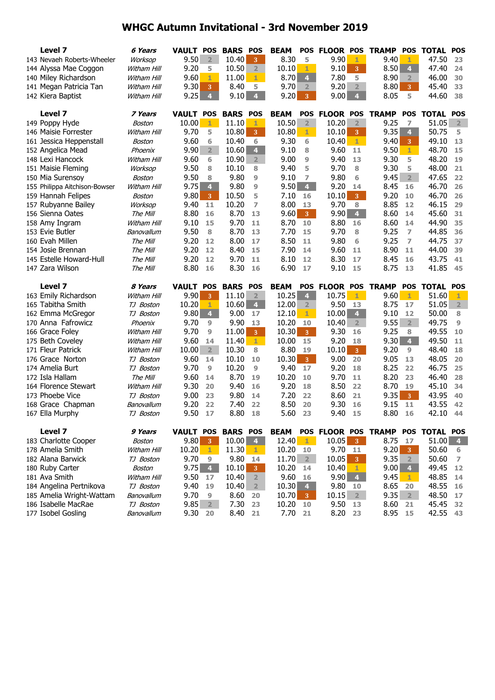| Level 7<br>9.90<br>9.50<br>8.30<br>9.40<br>47.50<br>143 Nevaeh Roberts-Wheeler<br>$\overline{2}$<br>10.40<br>5<br>23<br>Worksop<br>3<br>1<br>1<br>8.50<br>9.20<br>10.50<br>10.10<br>9.10<br>3 <sup>°</sup><br>$\overline{4}$<br>47.40<br>144 Alyssa Mae Coggon<br>2 <sup>1</sup><br>1<br>24<br>Witham Hill<br>5<br>9.60<br>11.00<br>8.70<br>$\overline{4}$<br>7.80<br>5<br>8.90<br>46.00<br>140 Miley Richardson<br>1<br>$1 -$<br>30<br>Witham Hill<br>$\overline{2}$<br>9.30<br>8.40<br>9.70<br>9.20<br>$\overline{2}$<br>8.80<br>45.40<br>141 Megan Patricia Tan<br>3<br>5<br>$\overline{2}$<br>3 <sup>°</sup><br>33<br>Witham Hill<br>9.25<br>9.10<br>$\overline{4}$<br>$\overline{4}$<br>9.20<br>9.00<br>4 <sup>1</sup><br>8.05<br>44.60<br>38<br>142 Kiera Baptist<br>3 <sup>°</sup><br>5<br>Witham Hill<br>Level 7<br><b>VAULT POS</b><br><b>BARS</b><br><b>BEAM</b><br>POS FLOOR POS<br><b>TOTAL POS</b><br><b>POS</b><br><b>TRAMP</b><br><b>POS</b><br>7 Years<br>10.00<br>11.10<br>10.50<br>$\overline{2}$<br>10.20<br>9.25<br>51.05<br>149 Poppy Hyde<br>1<br>1<br>$\overline{2}$<br>7<br>$\overline{2}$<br>Boston<br>9.70<br>10.80<br>3 <sup>°</sup><br>10.80<br>10.10<br>9.35<br>4<br>50.75<br>146 Maisie Forrester<br>5<br>1<br>3 <sup>°</sup><br>5<br>Witham Hill<br>9.30<br>9.60<br>10.40<br>6<br>10.40<br>$\mathbf{1}$<br>9.40<br>49.10<br>161 Jessica Heppenstall<br>6<br>6<br>3 <sup>°</sup><br>13<br>Boston<br>$\overline{2}$<br>9.90<br>10.60<br>$\overline{4}$<br>9.10<br>9.60<br>48.70<br>152 Angelica Mead<br>8<br>11<br>9.50<br>$\mathbf{1}$<br>15<br>Phoenix<br>148 Lexi Hancock<br>9.60<br>9.00<br>9.40<br>9.30<br>48.20<br>6<br>10.90<br>$\overline{2}$<br>9<br>13<br>5<br>19<br>Witham Hill<br>9.50<br>9.40<br>5<br>9.70<br>9.30<br>48.00<br>151 Maisie Fleming<br>10.10<br>8<br>8<br>5<br>21<br>Worksop<br>8<br>9.80<br>9.80<br>9.45<br>2 <sup>1</sup><br>47.65<br>9.50<br>$\overline{9}$<br>9.10<br>150 Mia Surensoy<br>8<br>7<br>6<br>22<br>Boston<br>9.75<br>$\overline{\mathbf{4}}$<br>$\overline{4}$<br>8.45<br>9.80<br>$\overline{9}$<br>9.50<br>9.20<br>46.70<br>26<br>155 Philippa Aitchison-Bowser<br>Witham Hill<br>14<br>16<br>46.70<br>9.80<br>10.50<br>7.10<br>10.10<br>3 <sup>2</sup><br>9.20<br>159 Hannah Felipes<br>$\mathbf{3}$<br>5<br>16<br>10<br>26<br>Boston<br>157 Rubyanne Bailey<br>9.40<br>10.20<br>7<br>8.00<br>9.70<br>8<br>8.85<br>46.15<br>11<br>12<br>29<br>Worksop<br>13<br>9.60<br>4 <sup>1</sup><br>156 Sienna Oates<br>8.80<br>8.70<br>9.90<br>8.60<br>45.60<br>The Mill<br>16<br>13<br>$3 -$<br>14<br>31<br>9.70<br>9.10<br>8.70<br>8.80<br>8.60<br>44.90<br>35<br>158 Amy Ingram<br>Witham Hill<br>15<br>11<br>10<br>16<br>14<br>9.50<br>8.70<br>7.70<br>9.70<br>9.25<br>44.85<br>153 Evie Butler<br>Banovallum<br>8<br>13<br>15<br>8<br>7<br>36<br>9.80<br>44.75<br>160 Evah Millen<br>9.20<br>8.00<br>17<br>8.50<br>6<br>9.25<br>$\overline{ }$<br>The Mill<br>12<br>11<br>37<br>9.20<br>8.40<br>7.90<br>9.60<br>8.90<br>44.00<br>154 Josie Brennan<br>The Mill<br>12<br>15<br>14<br>11<br>11<br>39<br>145 Estelle Howard-Hull<br>9.20<br>9.70<br>8.30<br>43.75<br>The Mill<br>12<br>11<br>8.10<br>12<br>17<br>8.45<br>16<br>41<br>6.90<br>41.85<br>147 Zara Wilson<br>8.80<br>8.30<br>9.10<br>8.75<br>The Mill<br>16<br>16<br>17<br>15<br>13<br>45<br>Level 7<br><b>BARS</b><br><b>BEAM</b><br><b>POS</b><br><b>FLOOR POS</b><br><b>TRAMP</b><br><b>POS</b><br><b>TOTAL</b><br>8 Years<br><b>VAULT POS</b><br>POS<br><b>POS</b><br>9.90<br>10.25<br>10.75<br>163 Emily Richardson<br>11.10<br>$\overline{2}$<br>$\overline{\mathbf{4}}$<br>9.60<br>51.60<br>3 <sup>°</sup><br>$1 -$<br>$\mathbf{1}$<br>1<br>Witham Hill<br>10.20<br>10.60<br>12.00<br>9.50<br>8.75<br>51.05<br>$\overline{2}$<br>165 Tabitha Smith<br>1<br>$\overline{4}$<br>17<br>TJ Boston<br>2<br>13<br>$\overline{\mathbf{4}}$<br>9.80<br>9.00<br>10.00<br>4 <sup>1</sup><br>9.10<br>50.00<br>162 Emma McGregor<br>TJ Boston<br>17<br>12.10<br>12<br>1.<br>8<br>9.55<br>170 Anna Fafrowicz<br>9.70<br>9.90<br>10.20<br>10.40<br>$2^{\circ}$<br>49.75<br>9<br>13<br>10<br>$\overline{2}$<br>9<br>Phoenix<br>9.70<br>11.00<br>10.30<br>9.30<br>9.25<br>49.55<br>166 Grace Foley<br>9<br>3 <sup>°</sup><br>3 <sup>7</sup><br>16<br>8<br>10<br>Witham Hill<br>10.00<br>9.30<br>4 <sup>1</sup><br>175 Beth Coveley<br>9.60<br>11.40<br>$1 -$<br>9.20<br>49.50<br>14<br>15<br>18<br>11<br>Witham Hill<br>171 Fleur Patrick<br>10.00<br>$\overline{2}$<br>10.30<br>8.80<br>10.10<br>$3 -$<br>9.20<br>48.40<br>8<br>19<br>9<br>18<br>Witham Hill<br>9.60<br>10.30<br>9.00<br>9.05<br>48.05<br>176 Grace Norton<br>10.10<br>3 <sup>7</sup><br>20<br>20<br>TJ Boston<br>14<br>10<br>13<br>9.70<br>10.20<br>9.40<br>9.20<br>8.25<br>46.75<br>174 Amelia Burt<br>9<br>17<br>22<br>25<br>TJ Boston<br>9<br>18<br>10.20<br>9.70<br>172 Isla Hallam<br>9.60<br>8.70<br>8.20<br>46.40<br>The Mill<br>14<br>19<br>10<br>11<br>23<br>28<br>164 Florence Stewart<br>9.30<br>9.40<br>9.20<br>8.50<br>8.70<br>45.10<br>34<br>20<br>16<br>18<br>22<br>19<br>Witham Hill<br>173 Phoebe Vice<br>9.00<br>9.80<br>7.20<br>8.60<br>9.35<br>43.95<br>23<br>14<br>22<br>21<br>$\overline{3}$<br>40<br>TJ Boston<br>9.30<br>9.20<br>22<br>7.40<br>8.50<br>9.15<br>43.55<br>42<br>168 Grace Chapman<br>Banovallum<br>22<br>20<br>16<br>11<br>167 Ella Murphy<br>9.50<br>8.80<br>5.60<br>9.40<br>8.80<br>42.10<br>17<br>18<br>23<br>15<br>44<br>TJ Boston<br>16<br>Level 7<br>9 Years<br>VAULT POS BARS POS<br><b>BEAM</b><br>POS FLOOR POS TRAMP POS TOTAL POS<br>183 Charlotte Cooper<br>9.80<br>$10.00 \quad 4$<br>12.40<br>10.05<br>8.75<br>51.00<br>3 <sup>7</sup><br>$\mathbf{1}$<br>3 <sup>2</sup><br>17<br>$\overline{4}$<br>Boston<br>10.20<br>11.30<br>10.20<br>9.70<br>9.20<br>50.60<br>178 Amelia Smith<br>$\mathbf{1}$<br>11<br>$\overline{\mathbf{3}}$<br>Witham Hill<br>$\mathbf{1}$<br>10<br>6<br>9.70<br>9.80<br>11.70<br>10.05<br>9.35<br>182 Alana Barwick<br>2<br>3<br>50.60<br>TJ Boston<br>14<br>$\overline{2}$<br>7<br>9<br>9.75<br>$\overline{\mathbf{4}}$<br>10.10<br>10.20<br>9.00<br>49.45<br>180 Ruby Carter<br>10.40<br>Boston<br>3<br>14<br>1<br>$\overline{\mathbf{4}}$<br>12 |               | 6 Years     | <b>VAULT POS</b> |    | <b>BARS</b> | POS            | <b>BEAM</b> | <b>POS</b> | <b>FLOOR POS</b> |                | <b>TRAMP</b> | <b>POS</b> | TOTAL | <b>POS</b> |
|-----------------------------------------------------------------------------------------------------------------------------------------------------------------------------------------------------------------------------------------------------------------------------------------------------------------------------------------------------------------------------------------------------------------------------------------------------------------------------------------------------------------------------------------------------------------------------------------------------------------------------------------------------------------------------------------------------------------------------------------------------------------------------------------------------------------------------------------------------------------------------------------------------------------------------------------------------------------------------------------------------------------------------------------------------------------------------------------------------------------------------------------------------------------------------------------------------------------------------------------------------------------------------------------------------------------------------------------------------------------------------------------------------------------------------------------------------------------------------------------------------------------------------------------------------------------------------------------------------------------------------------------------------------------------------------------------------------------------------------------------------------------------------------------------------------------------------------------------------------------------------------------------------------------------------------------------------------------------------------------------------------------------------------------------------------------------------------------------------------------------------------------------------------------------------------------------------------------------------------------------------------------------------------------------------------------------------------------------------------------------------------------------------------------------------------------------------------------------------------------------------------------------------------------------------------------------------------------------------------------------------------------------------------------------------------------------------------------------------------------------------------------------------------------------------------------------------------------------------------------------------------------------------------------------------------------------------------------------------------------------------------------------------------------------------------------------------------------------------------------------------------------------------------------------------------------------------------------------------------------------------------------------------------------------------------------------------------------------------------------------------------------------------------------------------------------------------------------------------------------------------------------------------------------------------------------------------------------------------------------------------------------------------------------------------------------------------------------------------------------------------------------------------------------------------------------------------------------------------------------------------------------------------------------------------------------------------------------------------------------------------------------------------------------------------------------------------------------------------------------------------------------------------------------------------------------------------------------------------------------------------------------------------------------------------------------------------------------------------------------------------------------------------------------------------------------------------------------------------------------------------------------------------------------------------------------------------------------------------------------------------------------------------------------------------------------------------------------------------------------------------------------------------------------------------------------------------------------------------------------------------------------------------------------------------------------------------------------------------------------------------------------------------------------------------------------------------------------------------------------------------------------------------------------------------------------------------------------------------------------------------------------------------------------------------------------------------------------------------------------------------------------------------------------------------------------------------------------------------------------------------------------------------------------------------------------------------------------------------------------------------------------------------------------------------------------------------------------------------------------------------------------------------------------------------------------------------------------------------------------------------------------------------------------------------------------------------------------------------------------------------------------------------------------------------------------------------------------------------------------------------------------------------------------------------------------------------------------------|---------------|-------------|------------------|----|-------------|----------------|-------------|------------|------------------|----------------|--------------|------------|-------|------------|
|                                                                                                                                                                                                                                                                                                                                                                                                                                                                                                                                                                                                                                                                                                                                                                                                                                                                                                                                                                                                                                                                                                                                                                                                                                                                                                                                                                                                                                                                                                                                                                                                                                                                                                                                                                                                                                                                                                                                                                                                                                                                                                                                                                                                                                                                                                                                                                                                                                                                                                                                                                                                                                                                                                                                                                                                                                                                                                                                                                                                                                                                                                                                                                                                                                                                                                                                                                                                                                                                                                                                                                                                                                                                                                                                                                                                                                                                                                                                                                                                                                                                                                                                                                                                                                                                                                                                                                                                                                                                                                                                                                                                                                                                                                                                                                                                                                                                                                                                                                                                                                                                                                                                                                                                                                                                                                                                                                                                                                                                                                                                                                                                                                                                                                                                                                                                                                                                                                                                                                                                                                                                                                                                                                                                                       |               |             |                  |    |             |                |             |            |                  |                |              |            |       |            |
|                                                                                                                                                                                                                                                                                                                                                                                                                                                                                                                                                                                                                                                                                                                                                                                                                                                                                                                                                                                                                                                                                                                                                                                                                                                                                                                                                                                                                                                                                                                                                                                                                                                                                                                                                                                                                                                                                                                                                                                                                                                                                                                                                                                                                                                                                                                                                                                                                                                                                                                                                                                                                                                                                                                                                                                                                                                                                                                                                                                                                                                                                                                                                                                                                                                                                                                                                                                                                                                                                                                                                                                                                                                                                                                                                                                                                                                                                                                                                                                                                                                                                                                                                                                                                                                                                                                                                                                                                                                                                                                                                                                                                                                                                                                                                                                                                                                                                                                                                                                                                                                                                                                                                                                                                                                                                                                                                                                                                                                                                                                                                                                                                                                                                                                                                                                                                                                                                                                                                                                                                                                                                                                                                                                                                       |               |             |                  |    |             |                |             |            |                  |                |              |            |       |            |
|                                                                                                                                                                                                                                                                                                                                                                                                                                                                                                                                                                                                                                                                                                                                                                                                                                                                                                                                                                                                                                                                                                                                                                                                                                                                                                                                                                                                                                                                                                                                                                                                                                                                                                                                                                                                                                                                                                                                                                                                                                                                                                                                                                                                                                                                                                                                                                                                                                                                                                                                                                                                                                                                                                                                                                                                                                                                                                                                                                                                                                                                                                                                                                                                                                                                                                                                                                                                                                                                                                                                                                                                                                                                                                                                                                                                                                                                                                                                                                                                                                                                                                                                                                                                                                                                                                                                                                                                                                                                                                                                                                                                                                                                                                                                                                                                                                                                                                                                                                                                                                                                                                                                                                                                                                                                                                                                                                                                                                                                                                                                                                                                                                                                                                                                                                                                                                                                                                                                                                                                                                                                                                                                                                                                                       |               |             |                  |    |             |                |             |            |                  |                |              |            |       |            |
|                                                                                                                                                                                                                                                                                                                                                                                                                                                                                                                                                                                                                                                                                                                                                                                                                                                                                                                                                                                                                                                                                                                                                                                                                                                                                                                                                                                                                                                                                                                                                                                                                                                                                                                                                                                                                                                                                                                                                                                                                                                                                                                                                                                                                                                                                                                                                                                                                                                                                                                                                                                                                                                                                                                                                                                                                                                                                                                                                                                                                                                                                                                                                                                                                                                                                                                                                                                                                                                                                                                                                                                                                                                                                                                                                                                                                                                                                                                                                                                                                                                                                                                                                                                                                                                                                                                                                                                                                                                                                                                                                                                                                                                                                                                                                                                                                                                                                                                                                                                                                                                                                                                                                                                                                                                                                                                                                                                                                                                                                                                                                                                                                                                                                                                                                                                                                                                                                                                                                                                                                                                                                                                                                                                                                       |               |             |                  |    |             |                |             |            |                  |                |              |            |       |            |
|                                                                                                                                                                                                                                                                                                                                                                                                                                                                                                                                                                                                                                                                                                                                                                                                                                                                                                                                                                                                                                                                                                                                                                                                                                                                                                                                                                                                                                                                                                                                                                                                                                                                                                                                                                                                                                                                                                                                                                                                                                                                                                                                                                                                                                                                                                                                                                                                                                                                                                                                                                                                                                                                                                                                                                                                                                                                                                                                                                                                                                                                                                                                                                                                                                                                                                                                                                                                                                                                                                                                                                                                                                                                                                                                                                                                                                                                                                                                                                                                                                                                                                                                                                                                                                                                                                                                                                                                                                                                                                                                                                                                                                                                                                                                                                                                                                                                                                                                                                                                                                                                                                                                                                                                                                                                                                                                                                                                                                                                                                                                                                                                                                                                                                                                                                                                                                                                                                                                                                                                                                                                                                                                                                                                                       |               |             |                  |    |             |                |             |            |                  |                |              |            |       |            |
|                                                                                                                                                                                                                                                                                                                                                                                                                                                                                                                                                                                                                                                                                                                                                                                                                                                                                                                                                                                                                                                                                                                                                                                                                                                                                                                                                                                                                                                                                                                                                                                                                                                                                                                                                                                                                                                                                                                                                                                                                                                                                                                                                                                                                                                                                                                                                                                                                                                                                                                                                                                                                                                                                                                                                                                                                                                                                                                                                                                                                                                                                                                                                                                                                                                                                                                                                                                                                                                                                                                                                                                                                                                                                                                                                                                                                                                                                                                                                                                                                                                                                                                                                                                                                                                                                                                                                                                                                                                                                                                                                                                                                                                                                                                                                                                                                                                                                                                                                                                                                                                                                                                                                                                                                                                                                                                                                                                                                                                                                                                                                                                                                                                                                                                                                                                                                                                                                                                                                                                                                                                                                                                                                                                                                       |               |             |                  |    |             |                |             |            |                  |                |              |            |       |            |
|                                                                                                                                                                                                                                                                                                                                                                                                                                                                                                                                                                                                                                                                                                                                                                                                                                                                                                                                                                                                                                                                                                                                                                                                                                                                                                                                                                                                                                                                                                                                                                                                                                                                                                                                                                                                                                                                                                                                                                                                                                                                                                                                                                                                                                                                                                                                                                                                                                                                                                                                                                                                                                                                                                                                                                                                                                                                                                                                                                                                                                                                                                                                                                                                                                                                                                                                                                                                                                                                                                                                                                                                                                                                                                                                                                                                                                                                                                                                                                                                                                                                                                                                                                                                                                                                                                                                                                                                                                                                                                                                                                                                                                                                                                                                                                                                                                                                                                                                                                                                                                                                                                                                                                                                                                                                                                                                                                                                                                                                                                                                                                                                                                                                                                                                                                                                                                                                                                                                                                                                                                                                                                                                                                                                                       |               |             |                  |    |             |                |             |            |                  |                |              |            |       |            |
|                                                                                                                                                                                                                                                                                                                                                                                                                                                                                                                                                                                                                                                                                                                                                                                                                                                                                                                                                                                                                                                                                                                                                                                                                                                                                                                                                                                                                                                                                                                                                                                                                                                                                                                                                                                                                                                                                                                                                                                                                                                                                                                                                                                                                                                                                                                                                                                                                                                                                                                                                                                                                                                                                                                                                                                                                                                                                                                                                                                                                                                                                                                                                                                                                                                                                                                                                                                                                                                                                                                                                                                                                                                                                                                                                                                                                                                                                                                                                                                                                                                                                                                                                                                                                                                                                                                                                                                                                                                                                                                                                                                                                                                                                                                                                                                                                                                                                                                                                                                                                                                                                                                                                                                                                                                                                                                                                                                                                                                                                                                                                                                                                                                                                                                                                                                                                                                                                                                                                                                                                                                                                                                                                                                                                       |               |             |                  |    |             |                |             |            |                  |                |              |            |       |            |
|                                                                                                                                                                                                                                                                                                                                                                                                                                                                                                                                                                                                                                                                                                                                                                                                                                                                                                                                                                                                                                                                                                                                                                                                                                                                                                                                                                                                                                                                                                                                                                                                                                                                                                                                                                                                                                                                                                                                                                                                                                                                                                                                                                                                                                                                                                                                                                                                                                                                                                                                                                                                                                                                                                                                                                                                                                                                                                                                                                                                                                                                                                                                                                                                                                                                                                                                                                                                                                                                                                                                                                                                                                                                                                                                                                                                                                                                                                                                                                                                                                                                                                                                                                                                                                                                                                                                                                                                                                                                                                                                                                                                                                                                                                                                                                                                                                                                                                                                                                                                                                                                                                                                                                                                                                                                                                                                                                                                                                                                                                                                                                                                                                                                                                                                                                                                                                                                                                                                                                                                                                                                                                                                                                                                                       |               |             |                  |    |             |                |             |            |                  |                |              |            |       |            |
|                                                                                                                                                                                                                                                                                                                                                                                                                                                                                                                                                                                                                                                                                                                                                                                                                                                                                                                                                                                                                                                                                                                                                                                                                                                                                                                                                                                                                                                                                                                                                                                                                                                                                                                                                                                                                                                                                                                                                                                                                                                                                                                                                                                                                                                                                                                                                                                                                                                                                                                                                                                                                                                                                                                                                                                                                                                                                                                                                                                                                                                                                                                                                                                                                                                                                                                                                                                                                                                                                                                                                                                                                                                                                                                                                                                                                                                                                                                                                                                                                                                                                                                                                                                                                                                                                                                                                                                                                                                                                                                                                                                                                                                                                                                                                                                                                                                                                                                                                                                                                                                                                                                                                                                                                                                                                                                                                                                                                                                                                                                                                                                                                                                                                                                                                                                                                                                                                                                                                                                                                                                                                                                                                                                                                       |               |             |                  |    |             |                |             |            |                  |                |              |            |       |            |
|                                                                                                                                                                                                                                                                                                                                                                                                                                                                                                                                                                                                                                                                                                                                                                                                                                                                                                                                                                                                                                                                                                                                                                                                                                                                                                                                                                                                                                                                                                                                                                                                                                                                                                                                                                                                                                                                                                                                                                                                                                                                                                                                                                                                                                                                                                                                                                                                                                                                                                                                                                                                                                                                                                                                                                                                                                                                                                                                                                                                                                                                                                                                                                                                                                                                                                                                                                                                                                                                                                                                                                                                                                                                                                                                                                                                                                                                                                                                                                                                                                                                                                                                                                                                                                                                                                                                                                                                                                                                                                                                                                                                                                                                                                                                                                                                                                                                                                                                                                                                                                                                                                                                                                                                                                                                                                                                                                                                                                                                                                                                                                                                                                                                                                                                                                                                                                                                                                                                                                                                                                                                                                                                                                                                                       |               |             |                  |    |             |                |             |            |                  |                |              |            |       |            |
|                                                                                                                                                                                                                                                                                                                                                                                                                                                                                                                                                                                                                                                                                                                                                                                                                                                                                                                                                                                                                                                                                                                                                                                                                                                                                                                                                                                                                                                                                                                                                                                                                                                                                                                                                                                                                                                                                                                                                                                                                                                                                                                                                                                                                                                                                                                                                                                                                                                                                                                                                                                                                                                                                                                                                                                                                                                                                                                                                                                                                                                                                                                                                                                                                                                                                                                                                                                                                                                                                                                                                                                                                                                                                                                                                                                                                                                                                                                                                                                                                                                                                                                                                                                                                                                                                                                                                                                                                                                                                                                                                                                                                                                                                                                                                                                                                                                                                                                                                                                                                                                                                                                                                                                                                                                                                                                                                                                                                                                                                                                                                                                                                                                                                                                                                                                                                                                                                                                                                                                                                                                                                                                                                                                                                       |               |             |                  |    |             |                |             |            |                  |                |              |            |       |            |
|                                                                                                                                                                                                                                                                                                                                                                                                                                                                                                                                                                                                                                                                                                                                                                                                                                                                                                                                                                                                                                                                                                                                                                                                                                                                                                                                                                                                                                                                                                                                                                                                                                                                                                                                                                                                                                                                                                                                                                                                                                                                                                                                                                                                                                                                                                                                                                                                                                                                                                                                                                                                                                                                                                                                                                                                                                                                                                                                                                                                                                                                                                                                                                                                                                                                                                                                                                                                                                                                                                                                                                                                                                                                                                                                                                                                                                                                                                                                                                                                                                                                                                                                                                                                                                                                                                                                                                                                                                                                                                                                                                                                                                                                                                                                                                                                                                                                                                                                                                                                                                                                                                                                                                                                                                                                                                                                                                                                                                                                                                                                                                                                                                                                                                                                                                                                                                                                                                                                                                                                                                                                                                                                                                                                                       |               |             |                  |    |             |                |             |            |                  |                |              |            |       |            |
|                                                                                                                                                                                                                                                                                                                                                                                                                                                                                                                                                                                                                                                                                                                                                                                                                                                                                                                                                                                                                                                                                                                                                                                                                                                                                                                                                                                                                                                                                                                                                                                                                                                                                                                                                                                                                                                                                                                                                                                                                                                                                                                                                                                                                                                                                                                                                                                                                                                                                                                                                                                                                                                                                                                                                                                                                                                                                                                                                                                                                                                                                                                                                                                                                                                                                                                                                                                                                                                                                                                                                                                                                                                                                                                                                                                                                                                                                                                                                                                                                                                                                                                                                                                                                                                                                                                                                                                                                                                                                                                                                                                                                                                                                                                                                                                                                                                                                                                                                                                                                                                                                                                                                                                                                                                                                                                                                                                                                                                                                                                                                                                                                                                                                                                                                                                                                                                                                                                                                                                                                                                                                                                                                                                                                       |               |             |                  |    |             |                |             |            |                  |                |              |            |       |            |
|                                                                                                                                                                                                                                                                                                                                                                                                                                                                                                                                                                                                                                                                                                                                                                                                                                                                                                                                                                                                                                                                                                                                                                                                                                                                                                                                                                                                                                                                                                                                                                                                                                                                                                                                                                                                                                                                                                                                                                                                                                                                                                                                                                                                                                                                                                                                                                                                                                                                                                                                                                                                                                                                                                                                                                                                                                                                                                                                                                                                                                                                                                                                                                                                                                                                                                                                                                                                                                                                                                                                                                                                                                                                                                                                                                                                                                                                                                                                                                                                                                                                                                                                                                                                                                                                                                                                                                                                                                                                                                                                                                                                                                                                                                                                                                                                                                                                                                                                                                                                                                                                                                                                                                                                                                                                                                                                                                                                                                                                                                                                                                                                                                                                                                                                                                                                                                                                                                                                                                                                                                                                                                                                                                                                                       |               |             |                  |    |             |                |             |            |                  |                |              |            |       |            |
|                                                                                                                                                                                                                                                                                                                                                                                                                                                                                                                                                                                                                                                                                                                                                                                                                                                                                                                                                                                                                                                                                                                                                                                                                                                                                                                                                                                                                                                                                                                                                                                                                                                                                                                                                                                                                                                                                                                                                                                                                                                                                                                                                                                                                                                                                                                                                                                                                                                                                                                                                                                                                                                                                                                                                                                                                                                                                                                                                                                                                                                                                                                                                                                                                                                                                                                                                                                                                                                                                                                                                                                                                                                                                                                                                                                                                                                                                                                                                                                                                                                                                                                                                                                                                                                                                                                                                                                                                                                                                                                                                                                                                                                                                                                                                                                                                                                                                                                                                                                                                                                                                                                                                                                                                                                                                                                                                                                                                                                                                                                                                                                                                                                                                                                                                                                                                                                                                                                                                                                                                                                                                                                                                                                                                       |               |             |                  |    |             |                |             |            |                  |                |              |            |       |            |
|                                                                                                                                                                                                                                                                                                                                                                                                                                                                                                                                                                                                                                                                                                                                                                                                                                                                                                                                                                                                                                                                                                                                                                                                                                                                                                                                                                                                                                                                                                                                                                                                                                                                                                                                                                                                                                                                                                                                                                                                                                                                                                                                                                                                                                                                                                                                                                                                                                                                                                                                                                                                                                                                                                                                                                                                                                                                                                                                                                                                                                                                                                                                                                                                                                                                                                                                                                                                                                                                                                                                                                                                                                                                                                                                                                                                                                                                                                                                                                                                                                                                                                                                                                                                                                                                                                                                                                                                                                                                                                                                                                                                                                                                                                                                                                                                                                                                                                                                                                                                                                                                                                                                                                                                                                                                                                                                                                                                                                                                                                                                                                                                                                                                                                                                                                                                                                                                                                                                                                                                                                                                                                                                                                                                                       |               |             |                  |    |             |                |             |            |                  |                |              |            |       |            |
|                                                                                                                                                                                                                                                                                                                                                                                                                                                                                                                                                                                                                                                                                                                                                                                                                                                                                                                                                                                                                                                                                                                                                                                                                                                                                                                                                                                                                                                                                                                                                                                                                                                                                                                                                                                                                                                                                                                                                                                                                                                                                                                                                                                                                                                                                                                                                                                                                                                                                                                                                                                                                                                                                                                                                                                                                                                                                                                                                                                                                                                                                                                                                                                                                                                                                                                                                                                                                                                                                                                                                                                                                                                                                                                                                                                                                                                                                                                                                                                                                                                                                                                                                                                                                                                                                                                                                                                                                                                                                                                                                                                                                                                                                                                                                                                                                                                                                                                                                                                                                                                                                                                                                                                                                                                                                                                                                                                                                                                                                                                                                                                                                                                                                                                                                                                                                                                                                                                                                                                                                                                                                                                                                                                                                       |               |             |                  |    |             |                |             |            |                  |                |              |            |       |            |
|                                                                                                                                                                                                                                                                                                                                                                                                                                                                                                                                                                                                                                                                                                                                                                                                                                                                                                                                                                                                                                                                                                                                                                                                                                                                                                                                                                                                                                                                                                                                                                                                                                                                                                                                                                                                                                                                                                                                                                                                                                                                                                                                                                                                                                                                                                                                                                                                                                                                                                                                                                                                                                                                                                                                                                                                                                                                                                                                                                                                                                                                                                                                                                                                                                                                                                                                                                                                                                                                                                                                                                                                                                                                                                                                                                                                                                                                                                                                                                                                                                                                                                                                                                                                                                                                                                                                                                                                                                                                                                                                                                                                                                                                                                                                                                                                                                                                                                                                                                                                                                                                                                                                                                                                                                                                                                                                                                                                                                                                                                                                                                                                                                                                                                                                                                                                                                                                                                                                                                                                                                                                                                                                                                                                                       |               |             |                  |    |             |                |             |            |                  |                |              |            |       |            |
|                                                                                                                                                                                                                                                                                                                                                                                                                                                                                                                                                                                                                                                                                                                                                                                                                                                                                                                                                                                                                                                                                                                                                                                                                                                                                                                                                                                                                                                                                                                                                                                                                                                                                                                                                                                                                                                                                                                                                                                                                                                                                                                                                                                                                                                                                                                                                                                                                                                                                                                                                                                                                                                                                                                                                                                                                                                                                                                                                                                                                                                                                                                                                                                                                                                                                                                                                                                                                                                                                                                                                                                                                                                                                                                                                                                                                                                                                                                                                                                                                                                                                                                                                                                                                                                                                                                                                                                                                                                                                                                                                                                                                                                                                                                                                                                                                                                                                                                                                                                                                                                                                                                                                                                                                                                                                                                                                                                                                                                                                                                                                                                                                                                                                                                                                                                                                                                                                                                                                                                                                                                                                                                                                                                                                       |               |             |                  |    |             |                |             |            |                  |                |              |            |       |            |
|                                                                                                                                                                                                                                                                                                                                                                                                                                                                                                                                                                                                                                                                                                                                                                                                                                                                                                                                                                                                                                                                                                                                                                                                                                                                                                                                                                                                                                                                                                                                                                                                                                                                                                                                                                                                                                                                                                                                                                                                                                                                                                                                                                                                                                                                                                                                                                                                                                                                                                                                                                                                                                                                                                                                                                                                                                                                                                                                                                                                                                                                                                                                                                                                                                                                                                                                                                                                                                                                                                                                                                                                                                                                                                                                                                                                                                                                                                                                                                                                                                                                                                                                                                                                                                                                                                                                                                                                                                                                                                                                                                                                                                                                                                                                                                                                                                                                                                                                                                                                                                                                                                                                                                                                                                                                                                                                                                                                                                                                                                                                                                                                                                                                                                                                                                                                                                                                                                                                                                                                                                                                                                                                                                                                                       |               |             |                  |    |             |                |             |            |                  |                |              |            |       |            |
|                                                                                                                                                                                                                                                                                                                                                                                                                                                                                                                                                                                                                                                                                                                                                                                                                                                                                                                                                                                                                                                                                                                                                                                                                                                                                                                                                                                                                                                                                                                                                                                                                                                                                                                                                                                                                                                                                                                                                                                                                                                                                                                                                                                                                                                                                                                                                                                                                                                                                                                                                                                                                                                                                                                                                                                                                                                                                                                                                                                                                                                                                                                                                                                                                                                                                                                                                                                                                                                                                                                                                                                                                                                                                                                                                                                                                                                                                                                                                                                                                                                                                                                                                                                                                                                                                                                                                                                                                                                                                                                                                                                                                                                                                                                                                                                                                                                                                                                                                                                                                                                                                                                                                                                                                                                                                                                                                                                                                                                                                                                                                                                                                                                                                                                                                                                                                                                                                                                                                                                                                                                                                                                                                                                                                       |               |             |                  |    |             |                |             |            |                  |                |              |            |       |            |
|                                                                                                                                                                                                                                                                                                                                                                                                                                                                                                                                                                                                                                                                                                                                                                                                                                                                                                                                                                                                                                                                                                                                                                                                                                                                                                                                                                                                                                                                                                                                                                                                                                                                                                                                                                                                                                                                                                                                                                                                                                                                                                                                                                                                                                                                                                                                                                                                                                                                                                                                                                                                                                                                                                                                                                                                                                                                                                                                                                                                                                                                                                                                                                                                                                                                                                                                                                                                                                                                                                                                                                                                                                                                                                                                                                                                                                                                                                                                                                                                                                                                                                                                                                                                                                                                                                                                                                                                                                                                                                                                                                                                                                                                                                                                                                                                                                                                                                                                                                                                                                                                                                                                                                                                                                                                                                                                                                                                                                                                                                                                                                                                                                                                                                                                                                                                                                                                                                                                                                                                                                                                                                                                                                                                                       |               |             |                  |    |             |                |             |            |                  |                |              |            |       |            |
|                                                                                                                                                                                                                                                                                                                                                                                                                                                                                                                                                                                                                                                                                                                                                                                                                                                                                                                                                                                                                                                                                                                                                                                                                                                                                                                                                                                                                                                                                                                                                                                                                                                                                                                                                                                                                                                                                                                                                                                                                                                                                                                                                                                                                                                                                                                                                                                                                                                                                                                                                                                                                                                                                                                                                                                                                                                                                                                                                                                                                                                                                                                                                                                                                                                                                                                                                                                                                                                                                                                                                                                                                                                                                                                                                                                                                                                                                                                                                                                                                                                                                                                                                                                                                                                                                                                                                                                                                                                                                                                                                                                                                                                                                                                                                                                                                                                                                                                                                                                                                                                                                                                                                                                                                                                                                                                                                                                                                                                                                                                                                                                                                                                                                                                                                                                                                                                                                                                                                                                                                                                                                                                                                                                                                       |               |             |                  |    |             |                |             |            |                  |                |              |            |       |            |
|                                                                                                                                                                                                                                                                                                                                                                                                                                                                                                                                                                                                                                                                                                                                                                                                                                                                                                                                                                                                                                                                                                                                                                                                                                                                                                                                                                                                                                                                                                                                                                                                                                                                                                                                                                                                                                                                                                                                                                                                                                                                                                                                                                                                                                                                                                                                                                                                                                                                                                                                                                                                                                                                                                                                                                                                                                                                                                                                                                                                                                                                                                                                                                                                                                                                                                                                                                                                                                                                                                                                                                                                                                                                                                                                                                                                                                                                                                                                                                                                                                                                                                                                                                                                                                                                                                                                                                                                                                                                                                                                                                                                                                                                                                                                                                                                                                                                                                                                                                                                                                                                                                                                                                                                                                                                                                                                                                                                                                                                                                                                                                                                                                                                                                                                                                                                                                                                                                                                                                                                                                                                                                                                                                                                                       |               |             |                  |    |             |                |             |            |                  |                |              |            |       |            |
|                                                                                                                                                                                                                                                                                                                                                                                                                                                                                                                                                                                                                                                                                                                                                                                                                                                                                                                                                                                                                                                                                                                                                                                                                                                                                                                                                                                                                                                                                                                                                                                                                                                                                                                                                                                                                                                                                                                                                                                                                                                                                                                                                                                                                                                                                                                                                                                                                                                                                                                                                                                                                                                                                                                                                                                                                                                                                                                                                                                                                                                                                                                                                                                                                                                                                                                                                                                                                                                                                                                                                                                                                                                                                                                                                                                                                                                                                                                                                                                                                                                                                                                                                                                                                                                                                                                                                                                                                                                                                                                                                                                                                                                                                                                                                                                                                                                                                                                                                                                                                                                                                                                                                                                                                                                                                                                                                                                                                                                                                                                                                                                                                                                                                                                                                                                                                                                                                                                                                                                                                                                                                                                                                                                                                       |               |             |                  |    |             |                |             |            |                  |                |              |            |       |            |
|                                                                                                                                                                                                                                                                                                                                                                                                                                                                                                                                                                                                                                                                                                                                                                                                                                                                                                                                                                                                                                                                                                                                                                                                                                                                                                                                                                                                                                                                                                                                                                                                                                                                                                                                                                                                                                                                                                                                                                                                                                                                                                                                                                                                                                                                                                                                                                                                                                                                                                                                                                                                                                                                                                                                                                                                                                                                                                                                                                                                                                                                                                                                                                                                                                                                                                                                                                                                                                                                                                                                                                                                                                                                                                                                                                                                                                                                                                                                                                                                                                                                                                                                                                                                                                                                                                                                                                                                                                                                                                                                                                                                                                                                                                                                                                                                                                                                                                                                                                                                                                                                                                                                                                                                                                                                                                                                                                                                                                                                                                                                                                                                                                                                                                                                                                                                                                                                                                                                                                                                                                                                                                                                                                                                                       |               |             |                  |    |             |                |             |            |                  |                |              |            |       |            |
|                                                                                                                                                                                                                                                                                                                                                                                                                                                                                                                                                                                                                                                                                                                                                                                                                                                                                                                                                                                                                                                                                                                                                                                                                                                                                                                                                                                                                                                                                                                                                                                                                                                                                                                                                                                                                                                                                                                                                                                                                                                                                                                                                                                                                                                                                                                                                                                                                                                                                                                                                                                                                                                                                                                                                                                                                                                                                                                                                                                                                                                                                                                                                                                                                                                                                                                                                                                                                                                                                                                                                                                                                                                                                                                                                                                                                                                                                                                                                                                                                                                                                                                                                                                                                                                                                                                                                                                                                                                                                                                                                                                                                                                                                                                                                                                                                                                                                                                                                                                                                                                                                                                                                                                                                                                                                                                                                                                                                                                                                                                                                                                                                                                                                                                                                                                                                                                                                                                                                                                                                                                                                                                                                                                                                       |               |             |                  |    |             |                |             |            |                  |                |              |            |       |            |
|                                                                                                                                                                                                                                                                                                                                                                                                                                                                                                                                                                                                                                                                                                                                                                                                                                                                                                                                                                                                                                                                                                                                                                                                                                                                                                                                                                                                                                                                                                                                                                                                                                                                                                                                                                                                                                                                                                                                                                                                                                                                                                                                                                                                                                                                                                                                                                                                                                                                                                                                                                                                                                                                                                                                                                                                                                                                                                                                                                                                                                                                                                                                                                                                                                                                                                                                                                                                                                                                                                                                                                                                                                                                                                                                                                                                                                                                                                                                                                                                                                                                                                                                                                                                                                                                                                                                                                                                                                                                                                                                                                                                                                                                                                                                                                                                                                                                                                                                                                                                                                                                                                                                                                                                                                                                                                                                                                                                                                                                                                                                                                                                                                                                                                                                                                                                                                                                                                                                                                                                                                                                                                                                                                                                                       |               |             |                  |    |             |                |             |            |                  |                |              |            |       |            |
|                                                                                                                                                                                                                                                                                                                                                                                                                                                                                                                                                                                                                                                                                                                                                                                                                                                                                                                                                                                                                                                                                                                                                                                                                                                                                                                                                                                                                                                                                                                                                                                                                                                                                                                                                                                                                                                                                                                                                                                                                                                                                                                                                                                                                                                                                                                                                                                                                                                                                                                                                                                                                                                                                                                                                                                                                                                                                                                                                                                                                                                                                                                                                                                                                                                                                                                                                                                                                                                                                                                                                                                                                                                                                                                                                                                                                                                                                                                                                                                                                                                                                                                                                                                                                                                                                                                                                                                                                                                                                                                                                                                                                                                                                                                                                                                                                                                                                                                                                                                                                                                                                                                                                                                                                                                                                                                                                                                                                                                                                                                                                                                                                                                                                                                                                                                                                                                                                                                                                                                                                                                                                                                                                                                                                       |               |             |                  |    |             |                |             |            |                  |                |              |            |       |            |
|                                                                                                                                                                                                                                                                                                                                                                                                                                                                                                                                                                                                                                                                                                                                                                                                                                                                                                                                                                                                                                                                                                                                                                                                                                                                                                                                                                                                                                                                                                                                                                                                                                                                                                                                                                                                                                                                                                                                                                                                                                                                                                                                                                                                                                                                                                                                                                                                                                                                                                                                                                                                                                                                                                                                                                                                                                                                                                                                                                                                                                                                                                                                                                                                                                                                                                                                                                                                                                                                                                                                                                                                                                                                                                                                                                                                                                                                                                                                                                                                                                                                                                                                                                                                                                                                                                                                                                                                                                                                                                                                                                                                                                                                                                                                                                                                                                                                                                                                                                                                                                                                                                                                                                                                                                                                                                                                                                                                                                                                                                                                                                                                                                                                                                                                                                                                                                                                                                                                                                                                                                                                                                                                                                                                                       |               |             |                  |    |             |                |             |            |                  |                |              |            |       |            |
|                                                                                                                                                                                                                                                                                                                                                                                                                                                                                                                                                                                                                                                                                                                                                                                                                                                                                                                                                                                                                                                                                                                                                                                                                                                                                                                                                                                                                                                                                                                                                                                                                                                                                                                                                                                                                                                                                                                                                                                                                                                                                                                                                                                                                                                                                                                                                                                                                                                                                                                                                                                                                                                                                                                                                                                                                                                                                                                                                                                                                                                                                                                                                                                                                                                                                                                                                                                                                                                                                                                                                                                                                                                                                                                                                                                                                                                                                                                                                                                                                                                                                                                                                                                                                                                                                                                                                                                                                                                                                                                                                                                                                                                                                                                                                                                                                                                                                                                                                                                                                                                                                                                                                                                                                                                                                                                                                                                                                                                                                                                                                                                                                                                                                                                                                                                                                                                                                                                                                                                                                                                                                                                                                                                                                       |               |             |                  |    |             |                |             |            |                  |                |              |            |       |            |
|                                                                                                                                                                                                                                                                                                                                                                                                                                                                                                                                                                                                                                                                                                                                                                                                                                                                                                                                                                                                                                                                                                                                                                                                                                                                                                                                                                                                                                                                                                                                                                                                                                                                                                                                                                                                                                                                                                                                                                                                                                                                                                                                                                                                                                                                                                                                                                                                                                                                                                                                                                                                                                                                                                                                                                                                                                                                                                                                                                                                                                                                                                                                                                                                                                                                                                                                                                                                                                                                                                                                                                                                                                                                                                                                                                                                                                                                                                                                                                                                                                                                                                                                                                                                                                                                                                                                                                                                                                                                                                                                                                                                                                                                                                                                                                                                                                                                                                                                                                                                                                                                                                                                                                                                                                                                                                                                                                                                                                                                                                                                                                                                                                                                                                                                                                                                                                                                                                                                                                                                                                                                                                                                                                                                                       |               |             |                  |    |             |                |             |            |                  |                |              |            |       |            |
|                                                                                                                                                                                                                                                                                                                                                                                                                                                                                                                                                                                                                                                                                                                                                                                                                                                                                                                                                                                                                                                                                                                                                                                                                                                                                                                                                                                                                                                                                                                                                                                                                                                                                                                                                                                                                                                                                                                                                                                                                                                                                                                                                                                                                                                                                                                                                                                                                                                                                                                                                                                                                                                                                                                                                                                                                                                                                                                                                                                                                                                                                                                                                                                                                                                                                                                                                                                                                                                                                                                                                                                                                                                                                                                                                                                                                                                                                                                                                                                                                                                                                                                                                                                                                                                                                                                                                                                                                                                                                                                                                                                                                                                                                                                                                                                                                                                                                                                                                                                                                                                                                                                                                                                                                                                                                                                                                                                                                                                                                                                                                                                                                                                                                                                                                                                                                                                                                                                                                                                                                                                                                                                                                                                                                       |               |             |                  |    |             |                |             |            |                  |                |              |            |       |            |
|                                                                                                                                                                                                                                                                                                                                                                                                                                                                                                                                                                                                                                                                                                                                                                                                                                                                                                                                                                                                                                                                                                                                                                                                                                                                                                                                                                                                                                                                                                                                                                                                                                                                                                                                                                                                                                                                                                                                                                                                                                                                                                                                                                                                                                                                                                                                                                                                                                                                                                                                                                                                                                                                                                                                                                                                                                                                                                                                                                                                                                                                                                                                                                                                                                                                                                                                                                                                                                                                                                                                                                                                                                                                                                                                                                                                                                                                                                                                                                                                                                                                                                                                                                                                                                                                                                                                                                                                                                                                                                                                                                                                                                                                                                                                                                                                                                                                                                                                                                                                                                                                                                                                                                                                                                                                                                                                                                                                                                                                                                                                                                                                                                                                                                                                                                                                                                                                                                                                                                                                                                                                                                                                                                                                                       |               |             |                  |    |             |                |             |            |                  |                |              |            |       |            |
|                                                                                                                                                                                                                                                                                                                                                                                                                                                                                                                                                                                                                                                                                                                                                                                                                                                                                                                                                                                                                                                                                                                                                                                                                                                                                                                                                                                                                                                                                                                                                                                                                                                                                                                                                                                                                                                                                                                                                                                                                                                                                                                                                                                                                                                                                                                                                                                                                                                                                                                                                                                                                                                                                                                                                                                                                                                                                                                                                                                                                                                                                                                                                                                                                                                                                                                                                                                                                                                                                                                                                                                                                                                                                                                                                                                                                                                                                                                                                                                                                                                                                                                                                                                                                                                                                                                                                                                                                                                                                                                                                                                                                                                                                                                                                                                                                                                                                                                                                                                                                                                                                                                                                                                                                                                                                                                                                                                                                                                                                                                                                                                                                                                                                                                                                                                                                                                                                                                                                                                                                                                                                                                                                                                                                       |               |             |                  |    |             |                |             |            |                  |                |              |            |       |            |
|                                                                                                                                                                                                                                                                                                                                                                                                                                                                                                                                                                                                                                                                                                                                                                                                                                                                                                                                                                                                                                                                                                                                                                                                                                                                                                                                                                                                                                                                                                                                                                                                                                                                                                                                                                                                                                                                                                                                                                                                                                                                                                                                                                                                                                                                                                                                                                                                                                                                                                                                                                                                                                                                                                                                                                                                                                                                                                                                                                                                                                                                                                                                                                                                                                                                                                                                                                                                                                                                                                                                                                                                                                                                                                                                                                                                                                                                                                                                                                                                                                                                                                                                                                                                                                                                                                                                                                                                                                                                                                                                                                                                                                                                                                                                                                                                                                                                                                                                                                                                                                                                                                                                                                                                                                                                                                                                                                                                                                                                                                                                                                                                                                                                                                                                                                                                                                                                                                                                                                                                                                                                                                                                                                                                                       |               |             |                  |    |             |                |             |            |                  |                |              |            |       |            |
|                                                                                                                                                                                                                                                                                                                                                                                                                                                                                                                                                                                                                                                                                                                                                                                                                                                                                                                                                                                                                                                                                                                                                                                                                                                                                                                                                                                                                                                                                                                                                                                                                                                                                                                                                                                                                                                                                                                                                                                                                                                                                                                                                                                                                                                                                                                                                                                                                                                                                                                                                                                                                                                                                                                                                                                                                                                                                                                                                                                                                                                                                                                                                                                                                                                                                                                                                                                                                                                                                                                                                                                                                                                                                                                                                                                                                                                                                                                                                                                                                                                                                                                                                                                                                                                                                                                                                                                                                                                                                                                                                                                                                                                                                                                                                                                                                                                                                                                                                                                                                                                                                                                                                                                                                                                                                                                                                                                                                                                                                                                                                                                                                                                                                                                                                                                                                                                                                                                                                                                                                                                                                                                                                                                                                       |               |             |                  |    |             |                |             |            |                  |                |              |            |       |            |
|                                                                                                                                                                                                                                                                                                                                                                                                                                                                                                                                                                                                                                                                                                                                                                                                                                                                                                                                                                                                                                                                                                                                                                                                                                                                                                                                                                                                                                                                                                                                                                                                                                                                                                                                                                                                                                                                                                                                                                                                                                                                                                                                                                                                                                                                                                                                                                                                                                                                                                                                                                                                                                                                                                                                                                                                                                                                                                                                                                                                                                                                                                                                                                                                                                                                                                                                                                                                                                                                                                                                                                                                                                                                                                                                                                                                                                                                                                                                                                                                                                                                                                                                                                                                                                                                                                                                                                                                                                                                                                                                                                                                                                                                                                                                                                                                                                                                                                                                                                                                                                                                                                                                                                                                                                                                                                                                                                                                                                                                                                                                                                                                                                                                                                                                                                                                                                                                                                                                                                                                                                                                                                                                                                                                                       |               |             |                  |    |             |                |             |            |                  |                |              |            |       |            |
|                                                                                                                                                                                                                                                                                                                                                                                                                                                                                                                                                                                                                                                                                                                                                                                                                                                                                                                                                                                                                                                                                                                                                                                                                                                                                                                                                                                                                                                                                                                                                                                                                                                                                                                                                                                                                                                                                                                                                                                                                                                                                                                                                                                                                                                                                                                                                                                                                                                                                                                                                                                                                                                                                                                                                                                                                                                                                                                                                                                                                                                                                                                                                                                                                                                                                                                                                                                                                                                                                                                                                                                                                                                                                                                                                                                                                                                                                                                                                                                                                                                                                                                                                                                                                                                                                                                                                                                                                                                                                                                                                                                                                                                                                                                                                                                                                                                                                                                                                                                                                                                                                                                                                                                                                                                                                                                                                                                                                                                                                                                                                                                                                                                                                                                                                                                                                                                                                                                                                                                                                                                                                                                                                                                                                       |               |             |                  |    |             |                |             |            |                  |                |              |            |       |            |
|                                                                                                                                                                                                                                                                                                                                                                                                                                                                                                                                                                                                                                                                                                                                                                                                                                                                                                                                                                                                                                                                                                                                                                                                                                                                                                                                                                                                                                                                                                                                                                                                                                                                                                                                                                                                                                                                                                                                                                                                                                                                                                                                                                                                                                                                                                                                                                                                                                                                                                                                                                                                                                                                                                                                                                                                                                                                                                                                                                                                                                                                                                                                                                                                                                                                                                                                                                                                                                                                                                                                                                                                                                                                                                                                                                                                                                                                                                                                                                                                                                                                                                                                                                                                                                                                                                                                                                                                                                                                                                                                                                                                                                                                                                                                                                                                                                                                                                                                                                                                                                                                                                                                                                                                                                                                                                                                                                                                                                                                                                                                                                                                                                                                                                                                                                                                                                                                                                                                                                                                                                                                                                                                                                                                                       |               |             |                  |    |             |                |             |            |                  |                |              |            |       |            |
|                                                                                                                                                                                                                                                                                                                                                                                                                                                                                                                                                                                                                                                                                                                                                                                                                                                                                                                                                                                                                                                                                                                                                                                                                                                                                                                                                                                                                                                                                                                                                                                                                                                                                                                                                                                                                                                                                                                                                                                                                                                                                                                                                                                                                                                                                                                                                                                                                                                                                                                                                                                                                                                                                                                                                                                                                                                                                                                                                                                                                                                                                                                                                                                                                                                                                                                                                                                                                                                                                                                                                                                                                                                                                                                                                                                                                                                                                                                                                                                                                                                                                                                                                                                                                                                                                                                                                                                                                                                                                                                                                                                                                                                                                                                                                                                                                                                                                                                                                                                                                                                                                                                                                                                                                                                                                                                                                                                                                                                                                                                                                                                                                                                                                                                                                                                                                                                                                                                                                                                                                                                                                                                                                                                                                       |               |             |                  |    |             |                |             |            |                  |                |              |            |       |            |
|                                                                                                                                                                                                                                                                                                                                                                                                                                                                                                                                                                                                                                                                                                                                                                                                                                                                                                                                                                                                                                                                                                                                                                                                                                                                                                                                                                                                                                                                                                                                                                                                                                                                                                                                                                                                                                                                                                                                                                                                                                                                                                                                                                                                                                                                                                                                                                                                                                                                                                                                                                                                                                                                                                                                                                                                                                                                                                                                                                                                                                                                                                                                                                                                                                                                                                                                                                                                                                                                                                                                                                                                                                                                                                                                                                                                                                                                                                                                                                                                                                                                                                                                                                                                                                                                                                                                                                                                                                                                                                                                                                                                                                                                                                                                                                                                                                                                                                                                                                                                                                                                                                                                                                                                                                                                                                                                                                                                                                                                                                                                                                                                                                                                                                                                                                                                                                                                                                                                                                                                                                                                                                                                                                                                                       |               |             |                  |    |             |                |             |            |                  |                |              |            |       |            |
|                                                                                                                                                                                                                                                                                                                                                                                                                                                                                                                                                                                                                                                                                                                                                                                                                                                                                                                                                                                                                                                                                                                                                                                                                                                                                                                                                                                                                                                                                                                                                                                                                                                                                                                                                                                                                                                                                                                                                                                                                                                                                                                                                                                                                                                                                                                                                                                                                                                                                                                                                                                                                                                                                                                                                                                                                                                                                                                                                                                                                                                                                                                                                                                                                                                                                                                                                                                                                                                                                                                                                                                                                                                                                                                                                                                                                                                                                                                                                                                                                                                                                                                                                                                                                                                                                                                                                                                                                                                                                                                                                                                                                                                                                                                                                                                                                                                                                                                                                                                                                                                                                                                                                                                                                                                                                                                                                                                                                                                                                                                                                                                                                                                                                                                                                                                                                                                                                                                                                                                                                                                                                                                                                                                                                       |               |             |                  |    |             |                |             |            |                  |                |              |            |       |            |
| 9.40<br>10.40<br>10.30<br>9.80<br>8.65<br>48.55<br>184 Angelina Pertnikova<br>$\overline{4}$<br>10<br>TJ Boston<br>19<br>$\overline{2}$<br>20<br>16                                                                                                                                                                                                                                                                                                                                                                                                                                                                                                                                                                                                                                                                                                                                                                                                                                                                                                                                                                                                                                                                                                                                                                                                                                                                                                                                                                                                                                                                                                                                                                                                                                                                                                                                                                                                                                                                                                                                                                                                                                                                                                                                                                                                                                                                                                                                                                                                                                                                                                                                                                                                                                                                                                                                                                                                                                                                                                                                                                                                                                                                                                                                                                                                                                                                                                                                                                                                                                                                                                                                                                                                                                                                                                                                                                                                                                                                                                                                                                                                                                                                                                                                                                                                                                                                                                                                                                                                                                                                                                                                                                                                                                                                                                                                                                                                                                                                                                                                                                                                                                                                                                                                                                                                                                                                                                                                                                                                                                                                                                                                                                                                                                                                                                                                                                                                                                                                                                                                                                                                                                                                   | 181 Ava Smith | Witham Hill | 9.50             | 17 | 10.40       | $\overline{2}$ | 9.60        | 16         | 9.90             | $\overline{4}$ | 9.45         | 1          | 48.85 | 14         |
| 48.50<br>9.70<br>8.60<br>10.70<br>10.15<br>$\overline{2}$<br>9.35<br>185 Amelia Wright-Wattam<br>9<br>2 <sup>2</sup><br>Banovallum<br>20<br>3 <sup>°</sup><br>17                                                                                                                                                                                                                                                                                                                                                                                                                                                                                                                                                                                                                                                                                                                                                                                                                                                                                                                                                                                                                                                                                                                                                                                                                                                                                                                                                                                                                                                                                                                                                                                                                                                                                                                                                                                                                                                                                                                                                                                                                                                                                                                                                                                                                                                                                                                                                                                                                                                                                                                                                                                                                                                                                                                                                                                                                                                                                                                                                                                                                                                                                                                                                                                                                                                                                                                                                                                                                                                                                                                                                                                                                                                                                                                                                                                                                                                                                                                                                                                                                                                                                                                                                                                                                                                                                                                                                                                                                                                                                                                                                                                                                                                                                                                                                                                                                                                                                                                                                                                                                                                                                                                                                                                                                                                                                                                                                                                                                                                                                                                                                                                                                                                                                                                                                                                                                                                                                                                                                                                                                                                      |               |             |                  |    |             |                |             |            |                  |                |              |            |       |            |
| 9.85<br>10.20<br>9.50<br>8.60<br>186 Isabelle MacRae<br>TJ Boston<br>$\overline{2}$<br>7.30<br>13<br>45.45<br>23<br>10<br>21<br>32                                                                                                                                                                                                                                                                                                                                                                                                                                                                                                                                                                                                                                                                                                                                                                                                                                                                                                                                                                                                                                                                                                                                                                                                                                                                                                                                                                                                                                                                                                                                                                                                                                                                                                                                                                                                                                                                                                                                                                                                                                                                                                                                                                                                                                                                                                                                                                                                                                                                                                                                                                                                                                                                                                                                                                                                                                                                                                                                                                                                                                                                                                                                                                                                                                                                                                                                                                                                                                                                                                                                                                                                                                                                                                                                                                                                                                                                                                                                                                                                                                                                                                                                                                                                                                                                                                                                                                                                                                                                                                                                                                                                                                                                                                                                                                                                                                                                                                                                                                                                                                                                                                                                                                                                                                                                                                                                                                                                                                                                                                                                                                                                                                                                                                                                                                                                                                                                                                                                                                                                                                                                                    |               |             |                  |    |             |                |             |            |                  |                |              |            |       |            |
| 177 Isobel Gosling<br>9.30<br>8.40<br>7.70<br>8.20<br>8.95<br>42.55<br>21<br>23<br>Banovallum<br>20<br>21<br>15<br>43                                                                                                                                                                                                                                                                                                                                                                                                                                                                                                                                                                                                                                                                                                                                                                                                                                                                                                                                                                                                                                                                                                                                                                                                                                                                                                                                                                                                                                                                                                                                                                                                                                                                                                                                                                                                                                                                                                                                                                                                                                                                                                                                                                                                                                                                                                                                                                                                                                                                                                                                                                                                                                                                                                                                                                                                                                                                                                                                                                                                                                                                                                                                                                                                                                                                                                                                                                                                                                                                                                                                                                                                                                                                                                                                                                                                                                                                                                                                                                                                                                                                                                                                                                                                                                                                                                                                                                                                                                                                                                                                                                                                                                                                                                                                                                                                                                                                                                                                                                                                                                                                                                                                                                                                                                                                                                                                                                                                                                                                                                                                                                                                                                                                                                                                                                                                                                                                                                                                                                                                                                                                                                 |               |             |                  |    |             |                |             |            |                  |                |              |            |       |            |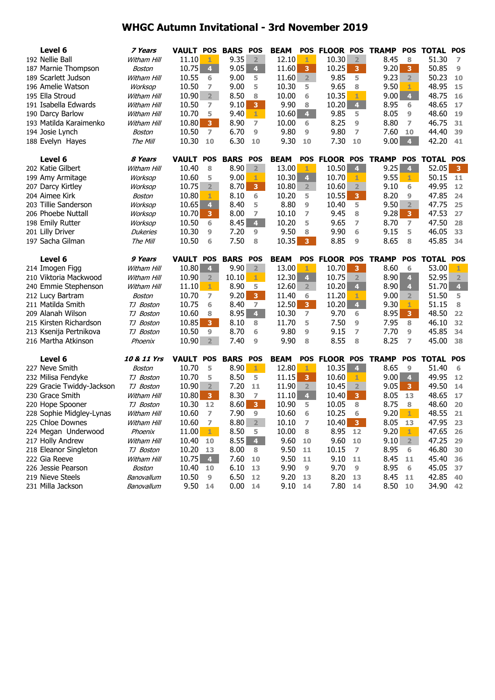| Level 6                             | 7 Years                | VAULT POS          |                         | <b>BARS</b>     | <b>POS</b>              | <b>BEAM</b>  |                         | POS FLOOR POS    |                         | <b>TRAMP</b> | <b>POS</b>              | <b>TOTAL POS</b> |                         |
|-------------------------------------|------------------------|--------------------|-------------------------|-----------------|-------------------------|--------------|-------------------------|------------------|-------------------------|--------------|-------------------------|------------------|-------------------------|
| 192 Nellie Ball                     | Witham Hill            | 11.10              | 1                       | 9.35            | $\overline{2}$          | 12.10        | 1                       | 10.30            | 2 <sup>1</sup>          | 8.45         | 8                       | 51.30            | 7                       |
| 187 Marnie Thompson                 | Boston                 | 10.75              | $\overline{\mathbf{4}}$ | 9.05            | 4 <sup>1</sup>          | 11.60        | 3                       | 10.25            | 3                       | 9.20         | 3                       | 50.85            | $\overline{9}$          |
| 189 Scarlett Judson                 | Witham Hill            | 10.55              | 6                       | 9.00            | 5                       | 11.60        | 2 <sup>2</sup>          | 9.85             | 5                       | 9.23         | 2 <sup>1</sup>          | 50.23            | 10                      |
| 196 Amelie Watson                   | Worksop                | 10.50              | 7                       | 9.00            | 5                       | 10.30        | 5                       | 9.65             | 8                       | 9.50         | 1                       | 48.95            | 15                      |
| 195 Ella Stroud                     | Witham Hill            | 10.90              | $\overline{2}$          | 8.50            | 8                       | 10.00        | 6                       | 10.35            | 1                       | 9.00         | $\overline{4}$          | 48.75            | 16                      |
| 191 Isabella Edwards                | Witham Hill            | 10.50              | 7                       | 9.10            | 3 <sup>°</sup>          | 9.90         | 8                       | 10.20            | $\overline{4}$          | 8.95         | 6                       | 48.65            | 17                      |
| 190 Darcy Barlow                    | Witham Hill            | 10.70              | 5                       | 9.40            | $1 -$                   | 10.60        | $\overline{\mathbf{4}}$ | 9.85             | 5                       | 8.05         | 9                       | 48.60            | 19                      |
| 193 Matilda Karaimenko              | Witham Hill            | 10.80              | 3                       | 8.90            | 7                       | 10.00        | 6                       | 8.25             | 9                       | 8.80         | 7                       | 46.75            | 31                      |
| 194 Josie Lynch                     | Boston                 | 10.50              | 7                       | 6.70            | 9                       | 9.80         | 9                       | 9.80             | $\overline{ }$          | 7.60         | 10                      | 44.40            | 39                      |
| 188 Evelyn Hayes                    | The Mill               | 10.30              | 10                      | 6.30            | 10                      | 9.30         | 10                      | 7.30             | 10                      | 9.00         | $\overline{4}$          | 42.20            | 41                      |
|                                     |                        |                    |                         |                 |                         |              |                         |                  |                         |              |                         |                  |                         |
| Level 6                             | 8 Years                | <b>VAULT POS</b>   |                         | <b>BARS</b>     | <b>POS</b>              | <b>BEAM</b>  | <b>POS</b>              | <b>FLOOR POS</b> |                         | <b>TRAMP</b> |                         | POS TOTAL POS    |                         |
| 202 Katie Gilbert                   | Witham Hill            | 10.40              | 8                       | 8.90            | $2^{\circ}$             | 13.00        | 1                       | 10.50            | 4 <sup>1</sup>          | 9.25         | $\overline{4}$          | 52.05            | $\mathbf{3}$            |
| 199 Amy Armitage                    | Worksop                | 10.60              | 5                       | 9.00            | 1                       | 10.30        | $\overline{\mathbf{4}}$ | 10.70            | 1                       | 9.55         | 1                       | 50.15            | 11                      |
| 207 Darcy Kirtley                   | Worksop                | 10.75              | $\overline{2}$          | 8.70            | 3 <sup>7</sup>          | 10.80        | $\overline{2}$          | 10.60            | 2 <sup>1</sup>          | 9.10         | 6                       | 49.95            | 12                      |
| 204 Aimee Kirk                      | Boston                 | 10.80              | 1                       | 8.10            | 6                       | 10.20        | 5                       | 10.55            | 3 <sup>7</sup>          | 8.20         | 9                       | 47.85            | 24                      |
| 203 Tillie Sanderson                | <b>Worksop</b>         | 10.65              | $\overline{\mathbf{4}}$ | 8.40            | 5                       | 8.80         | $\overline{9}$          | 10.40            | 5                       | 9.50         | $\overline{2}$          | 47.75            | 25                      |
| 206 Phoebe Nuttall                  | <b>Worksop</b>         | 10.70              | 3 <sup>1</sup>          | 8.00            | 7                       | 10.10        | 7                       | 9.45             | 8                       | 9.28         | $\overline{\mathbf{3}}$ | 47.53            | 27                      |
| 198 Emily Rutter                    | Worksop                | 10.50              | 6                       | 8.45            | 4 <sup>1</sup>          | 10.20        | 5                       | 9.65             | 7                       | 8.70         | 7                       | 47.50            | 28                      |
| 201 Lilly Driver                    | <b>Dukeries</b>        | 10.30              | 9                       | 7.20            | 9                       | 9.50         | 8                       | 9.90             | 6                       | 9.15         | 5                       | 46.05            | 33                      |
| 197 Sacha Gilman                    | The Mill               | 10.50              | 6                       | 7.50            | 8                       | 10.35        | $\overline{3}$          | 8.85             | 9                       | 8.65         | 8                       | 45.85            | 34                      |
|                                     |                        |                    |                         |                 |                         |              |                         |                  |                         |              |                         |                  |                         |
| Level 6                             | 9 Years                | <b>VAULT POS</b>   |                         | <b>BARS</b>     | POS                     | <b>BEAM</b>  |                         | POS FLOOR POS    |                         | <b>TRAMP</b> | <b>POS</b>              | <b>TOTAL POS</b> |                         |
| 214 Imogen Figg                     | Witham Hill            | 10.80              | 4                       | 9.90            | $\overline{2}$          | 13.00        | 1                       | 10.70            | 3                       | 8.60         | 6                       | 53.00            | 1                       |
| 210 Viktoria Mackwood               | Witham Hill            | 10.90              | $\overline{2}$          | 10.10           | 1.                      | 12.30        | $\overline{\mathbf{4}}$ | 10.75            | $\overline{2}$          | 8.90         | $\overline{4}$          | 52.95            | $\overline{2}$          |
| 240 Emmie Stephenson                | Witham Hill            | 11.10              | 1.                      | 8.90            | 5                       | 12.60        | $\overline{2}$          | 10.20            | $\overline{4}$          | 8.90         | 4                       | 51.70            | $\overline{\mathbf{4}}$ |
| 212 Lucy Bartram                    | Boston                 | 10.70              | $\overline{ }$          | 9.20            | 3 <sup>°</sup>          | 11.40        | 6                       | 11.20            | 1                       | 9.00         | $\overline{2}$          | 51.50            | 5                       |
| 211 Matilda Smith                   | TJ Boston              | 10.75              | 6                       | 8.40            | $\overline{ }$          | 12.50        | $\overline{\mathbf{3}}$ | 10.20            | $\blacktriangleleft$    | 9.30         | 1                       | 51.15            | 8                       |
| 209 Alanah Wilson                   | TJ Boston              | 10.60              | 8                       | 8.95            | 4 <sup>1</sup>          | 10.30        | $\overline{ }$          | 9.70             | 6                       | 8.95         | $\overline{\mathbf{3}}$ | 48.50            | 22                      |
| 215 Kirsten Richardson              | TJ Boston              | 10.85              | 3                       | 8.10            | 8                       | 11.70        | 5                       | 7.50             | 9                       | 7.95         | 8                       | 46.10            | 32                      |
| 213 Ksenija Pertnikova              | TJ Boston              | 10.50              | 9                       | 8.70            | 6                       | 9.80         | $\overline{9}$          | 9.15             | 7                       | 7.70         | 9                       | 45.85            | 34                      |
| 216 Martha Atkinson                 | Phoenix                | 10.90              | $\overline{2}$          | 7.40            | $\overline{9}$          | 9.90         | 8                       | 8.55             | 8                       | 8.25         | $\overline{ }$          | 45.00            | 38                      |
| Level 6                             | 10 & 11 Yrs            | <b>VAULT POS</b>   |                         | <b>BARS POS</b> |                         | <b>BEAM</b>  |                         | POS FLOOR POS    |                         | <b>TRAMP</b> | <b>POS</b>              | <b>TOTAL POS</b> |                         |
| 227 Neve Smith                      | Boston                 | 10.70              | 5                       | 8.90            | $1 -$                   | 12.80        | 1                       | 10.35            | $\overline{4}$          | 8.65         | 9                       | 51.40            | 6                       |
| 232 Milisa Fendyke                  | TJ Boston              | 10.70              | 5                       | 8.50            | 5                       | 11.15        | 3                       | 10.60            | 1                       | 9.00         | $\overline{4}$          | 49.95            | 12                      |
| 229 Gracie Twiddy-Jackson           | TJ Boston              | 10.90              | $\overline{2}$          | 7.20            | 11                      | 11.90        | $\overline{2}$          | 10.45            | 2 <sup>1</sup>          | 9.05         | $\overline{\mathbf{3}}$ | 49.50            | 14                      |
| 230 Grace Smith                     | Witham Hill            | 10.80              | 3 <sup>1</sup>          | 8.30            | $\overline{7}$          | 11.10        | $\overline{4}$          | 10.40            | $\overline{\mathbf{3}}$ | 8.05         | 13                      | 48.65            | 17                      |
| 220 Hope Spooner                    | TJ Boston              | 10.30              | 12                      | 8.60            | 3 <sup>°</sup>          | 10.90        | 5                       | 10.05            | 8                       | 8.75         | 8                       | 48.60            | 20                      |
| 228 Sophie Midgley-Lynas            | Witham Hill            | 10.60              | 7                       | 7.90            | $\boldsymbol{9}$        | 10.60        | 6                       | 10.25            | 6                       |              | $9.20$ 1                | 48.55            | 21                      |
| 225 Chloe Downes                    |                        |                    |                         |                 |                         |              |                         | $10.40$ 3        |                         |              |                         | 47.95 23         |                         |
|                                     |                        |                    |                         |                 |                         |              |                         |                  |                         |              |                         |                  |                         |
|                                     | Witham Hill            | 10.60              | 7                       | 8.80            | $\overline{\mathbf{2}}$ | 10.10        | $\overline{z}$          |                  |                         | 8.05         | - 13                    |                  |                         |
| 224 Megan Underwood                 | Phoenix<br>Witham Hill | 11.00              | $\mathbf{1}$            | 8.50            | 5                       | 10.00        | 8                       | 8.95             | 12                      | 9.20         | 1<br>$\overline{2}$     | 47.65            | 26                      |
| 217 Holly Andrew                    | TJ Boston              | 10.40              | 10                      | 8.55            | $\overline{4}$<br>8     | 9.60         | 10                      | 9.60             | 10                      | 9.10         | 6                       | 47.25            | 29                      |
| 218 Eleanor Singleton               | Witham Hill            | 10.20              | 13                      | 8.00            | 10                      | 9.50         | 11                      | 10.15            | $\overline{z}$          | 8.95         | 11                      | 46.80            | 30<br>36                |
| 222 Gia Reeve<br>226 Jessie Pearson | Boston                 | $10.75$ 4<br>10.40 | 10                      | 7.60<br>6.10    | 13                      | 9.50<br>9.90 | 11<br>9                 | 9.10<br>9.70     | 11<br>9                 | 8.45         | 6                       | 45.40            | -37                     |
| 219 Nieve Steels                    | Banovallum             | 10.50              | 9                       | 6.50            | 12                      | 9.20         | 13                      | 8.20             | 13                      | 8.95<br>8.45 | 11                      | 45.05<br>42.85   | -40                     |